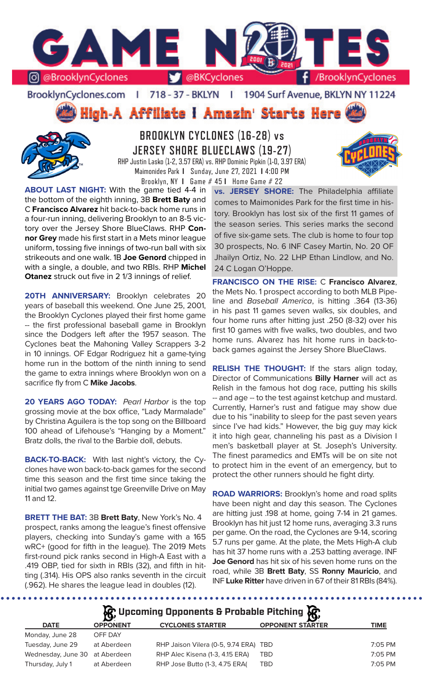

BrooklynCyclones.com | 718 - 37 - BKLYN - F 1904 Surf Avenue, BKLYN NY 11224

High-A Affiliate I Amazin' Starts Here



**BROOKLYN CYCLONES (16-28) vs JERSEY SHORE BLUECLAWS (19-27)** RHP Justin Lasko (1-2, 3.57 ERA) vs. RHP Dominic Pipkin (1-0, 3.97 ERA) Maimonides Park **I** Sunday, June 27, 2021 **I** 4:00 PM

Brooklyn, NY **I** Game # 45 **I** Home Game # 22

**ABOUT LAST NIGHT:** With the game tied 4-4 in the bottom of the eighth inning, 3B **Brett Baty** and C **Francisco Alvarez** hit back-to-back home runs in a four-run inning, delivering Brooklyn to an 8-5 victory over the Jersey Shore BlueClaws. RHP **Connor Grey** made his first start in a Mets minor league uniform, tossing five innings of two-run ball with six strikeouts and one walk. 1B **Joe Genord** chipped in with a single, a double, and two RBIs. RHP **Michel Otanez** struck out five in 2 1/3 innings of relief.

20TH ANNIVERSARY: Brooklyn celebrates 20 years of baseball this weekend. One June 25, 2001, the Brooklyn Cyclones played their first home game -- the first professional baseball game in Brooklyn since the Dodgers left after the 1957 season. The Cyclones beat the Mahoning Valley Scrappers 3-2 in 10 innings. OF Edgar Rodriguez hit a game-tying home run in the bottom of the ninth inning to send the game to extra innings where Brooklyn won on a sacrifice fly from C **Mike Jacobs**.

**20 YEARS AGO TODAY:** *Pearl Harbor* is the top grossing movie at the box office, "Lady Marmalade" by Christina Aguilera is the top song on the Billboard 100 ahead of Lifehouse's "Hanging by a Moment." Bratz dolls, the rival to the Barbie doll, debuts.

**BACK-TO-BACK:** With last night's victory, the Cyclones have won back-to-back games for the second time this season and the first time since taking the initial two games against tge Greenville Drive on May 11 and 12.

**BRETT THE BAT:** 3B **Brett Baty**, New York's No. 4 prospect, ranks among the league's finest offensive players, checking into Sunday's game with a 165 wRC+ (good for fifth in the league). The 2019 Mets first-round pick ranks second in High-A East with a .419 OBP, tied for sixth in RBIs (32), and fifth in hitting (.314). His OPS also ranks seventh in the circuit (.962). He shares the league lead in doubles (12).

**vs. JERSEY SHORE:** The Philadelphia affiliate comes to Maimonides Park for the first time in history. Brooklyn has lost six of the first 11 games of the season series. This series marks the second of five six-game sets. The club is home to four top 30 prospects, No. 6 INF Casey Martin, No. 20 OF Jhailyn Ortiz, No. 22 LHP Ethan Lindlow, and No. 24 C Logan O'Hoppe.

**FRANCISCO ON THE RISE:** C **Francisco Alvarez**, the Mets No. 1 prospect according to both MLB Pipeline and *Baseball America*, is hitting .364 (13-36) in his past 11 games seven walks, six doubles, and four home runs after hitting just .250 (8-32) over his first 10 games with five walks, two doubles, and two home runs. Alvarez has hit home runs in back-toback games against the Jersey Shore BlueClaws.

**RELISH THE THOUGHT:** If the stars align today, Director of Communications **Billy Harner** will act as Relish in the famous hot dog race, putting his skills -- and age -- to the test against ketchup and mustard. Currently, Harner's rust and fatigue may show due due to his "inability to sleep for the past seven years since I've had kids." However, the big guy may kick it into high gear, channeling his past as a Division I men's basketball player at St. Joseph's University. The finest paramedics and EMTs will be on site not to protect him in the event of an emergency, but to protect the other runners should he fight dirty.

**ROAD WARRIORS:** Brooklyn's home and road splits have been night and day this season. The Cyclones are hitting just .198 at home, going 7-14 in 21 games. Brooklyn has hit just 12 home runs, averaging 3.3 runs per game. On the road, the Cyclones are 9-14, scoring 5.7 runs per game. At the plate, the Mets High-A club has hit 37 home runs with a .253 batting average. INF **Joe Genord** has hit six of his seven home runs on the road, while 3B **Brett Baty**, SS **Ronny Mauricio**, and INF **Luke Ritter** have driven in 67 of their 81 RBIs (84%).

**Upcoming Opponents & Probable Pitching**

|                                |                 | $\mathbf{Q}$                          |                         |           |
|--------------------------------|-----------------|---------------------------------------|-------------------------|-----------|
| <b>DATE</b>                    | <b>OPPONENT</b> | <b>CYCLONES STARTER</b>               | <b>OPPONENT STARTER</b> | TIME      |
| Monday, June 28                | OFF DAY         |                                       |                         |           |
| Tuesday, June 29               | at Aberdeen     | RHP Jaison Vilera (0-5, 9.74 ERA) TBD |                         | 7:05 PM   |
| Wednesday, June 30 at Aberdeen |                 | RHP Alec Kisena (1-3, 4.15 ERA)       | TBD                     | $7:05$ PM |
| Thursday, July 1               | at Aberdeen     | RHP Jose Butto (1-3, 4.75 ERA)        | TBD                     | $7:05$ PM |
|                                |                 |                                       |                         |           |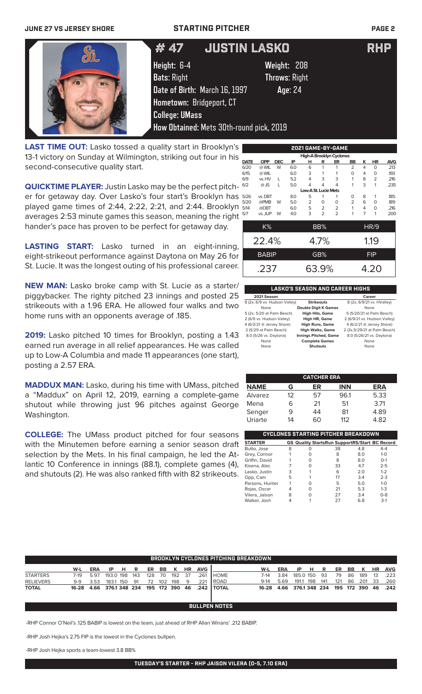### **JUNE 27 VS JERSEY SHORE STARTING PITCHER PAGE 2**

| # 47                                                                                                                                                                | JUSTIN LASKO                                   | RHP |
|---------------------------------------------------------------------------------------------------------------------------------------------------------------------|------------------------------------------------|-----|
| Height: 6-4<br><b>Bats: Right</b><br>Date of Birth: March 16, 1997<br>Hometown: Bridgeport, CT<br><b>College: UMass</b><br>How Obtained: Mets 30th-round pick, 2019 | Weight: 208<br><b>Throws: Right</b><br>Age: 24 |     |

LAST TIME OUT: Lasko tossed a quality start in Brooklyn's 13-1 victory on Sunday at Wilmington, striking out four in his second-consecutive quality start.

**QUICKTIME PLAYER:** Justin Lasko may be the perfect pitcher for getaway day. Over Lasko's four start's Brooklyn has played game times of 2:44, 2:22, 2:21, and 2:44. Brooklyn averages 2:53 minute games this season, meaning the right hander's pace has proven to be perfect for getaway day.

**LASTING START:** Lasko turned in an eight-inning, eight-strikeout performance against Daytona on May 26 for St. Lucie. It was the longest outing of his professional career.

**NEW MAN:** Lasko broke camp with St. Lucie as a starter/ piggybacker. The righty pitched 23 innings and posted 25 strikeouts with a 1.96 ERA. He allowed four walks and two home runs with an opponents average of .185.

**2019:** Lasko pitched 10 times for Brooklyn, posting a 1.43 earned run average in all relief appearances. He was called up to Low-A Columbia and made 11 appearances (one start), posting a 2.57 ERA.

**MADDUX MAN:** Lasko, during his time with UMass, pitched a "Maddux" on April 12, 2019, earning a complete-game shutout while throwing just 96 pitches against George Washington.

**COLLEGE:** The UMass product pitched for four seasons with the Minutemen before earning a senior season draft selection by the Mets. In his final campaign, he led the Atlantic 10 Conference in innings (88.1), complete games (4), and shutouts (2). He was also ranked fifth with 82 strikeouts.

| <b>2021 GAME-BY-GAME</b>        |              |            |     |                             |                |                |                |                |             |            |
|---------------------------------|--------------|------------|-----|-----------------------------|----------------|----------------|----------------|----------------|-------------|------------|
| <b>High-A Brooklyn Cyclones</b> |              |            |     |                             |                |                |                |                |             |            |
| DATE                            | <b>OPP</b>   | <b>DEC</b> | IP  | н                           | R              | ER             | BB             | κ              | HR          | <b>AVG</b> |
| 6/20                            | @ WIL        | W          | 6.0 | 6                           | 1              | 1              | $\overline{2}$ | $\overline{4}$ | $\Omega$    | .213       |
| 6/15                            | @ WIL        |            | 6.0 | 3                           | 1              | 1              | 0              | 4              | 0           | .193       |
| 6/9                             | vs. HV       | L          | 5.2 | 4                           | 3              | 3              | 1              | 8              | 2           | .216       |
| 6/2                             | $@$ JS       | L          | 5.0 | 4                           | 4              | 4              | 1              | 3              | 1           | .235       |
|                                 |              |            |     | <b>Low-A St. Lucie Mets</b> |                |                |                |                |             |            |
| 5/26                            | vs. DBT      |            | 8.0 | 5                           | 1              | 1              | 0              | 8              | 1           | .185       |
| 5/20                            | @PMB         | W          | 5.0 | 2                           | 0              | O              | $\overline{2}$ | 6              | 0           | .189       |
| 5/14                            | @DBT         |            | 6.0 | 5                           | 2              | $\overline{2}$ | 1              | 4              | $\Omega$    | .216       |
| 5/7                             | vs. JUP      | W          | 4.0 | 3                           | $\overline{2}$ | $\overline{2}$ | 1              | $\overline{7}$ | 1           | .200       |
|                                 |              |            |     |                             |                |                |                |                |             |            |
|                                 | $K\%$        |            |     |                             | BB%            |                |                |                | <b>HR/9</b> |            |
|                                 |              |            |     |                             |                |                |                |                |             |            |
|                                 | 22.4%        |            |     |                             | 4.7%           |                |                |                | 1.19        |            |
|                                 | <b>BABIP</b> |            |     |                             | GB%            |                |                |                | <b>FIP</b>  |            |
|                                 |              |            |     |                             |                |                |                |                |             |            |
|                                 |              |            |     |                             |                |                |                |                |             |            |
|                                 | .237         |            |     |                             | 63.9%          |                |                |                | 4.20        |            |

### **LASKO'S SEASON AND CAREER HIGHS 2021 Season Career**<br>8 (2x, 6/9 vs. Hudson Valley) **Strikeouts** 8 (2x, 6/9/21 vs. 9 vs. Hudson Valley) **Strikeouts** 8 (2x, 6/9/21 vs. HValley)<br>None **Double Digit K Games** None ربر<br>**High Hits, Game** 5 (5/20/21 at Palm Beach) 5 (2x, 5/20 at Palm Beach) **High Hits, Game**<br>2 (6/9 vs. Hudson Valley) **High HR, Game** 2 (6/9 vs. Hudson Valley) **High HR, Game** 2 (6/9/21 vs. Hudson Valley) 4 (6/2/21 @ Jersey Shore) **High Runs, Game** 4 (6/2/21 @ Jersey Shore) 2 (5/29 at Palm Beach) **High Walks, Game** 2 (3x,5/29/21 at Palm Beach) 8.0 (5/26 vs. Daytona) **Innings Pitched, Game** 8.0 (5/26/21 vs. Daytona) **None Complete Games None Complete Games None None**

**Shutouts** 

| <b>CATCHER ERA</b> |    |    |            |            |  |  |  |
|--------------------|----|----|------------|------------|--|--|--|
| <b>NAME</b>        | G  | ER | <b>INN</b> | <b>ERA</b> |  |  |  |
| Alvarez            | 12 | 57 | 96.1       | 5.33       |  |  |  |
| Mena               | 6  | 21 | 51         | 3.71       |  |  |  |
| Senger             | 9  | 44 | 81         | 4.89       |  |  |  |
| Uriarte            | 14 | 60 | 112        | 4.82       |  |  |  |

| CYCLONES STARTING PITCHER BREAKDOWN |   |   |                                                       |     |         |  |  |  |  |  |  |
|-------------------------------------|---|---|-------------------------------------------------------|-----|---------|--|--|--|--|--|--|
| <b>STARTER</b>                      |   |   | <b>GS Quality StartsRun SupportRS/Start BC Record</b> |     |         |  |  |  |  |  |  |
| Butto, Jose                         | 8 | 0 | 38                                                    | 4.8 | $4 - 4$ |  |  |  |  |  |  |
| Grey, Connor                        |   |   | 8                                                     | 8.0 | $1 - 0$ |  |  |  |  |  |  |
| Griffin, David                      |   |   | 8                                                     | 8.0 | $O-1$   |  |  |  |  |  |  |
| Kisena, Alec                        |   | O | 33                                                    | 4.7 | $2 - 5$ |  |  |  |  |  |  |
| Lasko, Justin                       | 3 |   | 6                                                     | 2.0 | $1 - 2$ |  |  |  |  |  |  |
| Opp, Cam                            | 5 |   | 17                                                    | 3.4 | $2 - 3$ |  |  |  |  |  |  |
| Parsons, Hunter                     |   |   | 5                                                     | 5.0 | $1 - 0$ |  |  |  |  |  |  |
| Rojas, Oscar                        |   | O | 21                                                    | 5.3 | $1 - 3$ |  |  |  |  |  |  |
| Vilera, Jaison                      | 8 |   | 27                                                    | 3.4 | $0 - 8$ |  |  |  |  |  |  |
| Walker, Josh                        |   |   | 27                                                    | 6.8 | $3-1$   |  |  |  |  |  |  |

|                  | <b>BROOKLYN CYCLONES PITCHING BREAKDOWN</b> |            |                    |     |     |     |     |             |      |            |                      |        |      |               |     |     |     |     |             |           |            |
|------------------|---------------------------------------------|------------|--------------------|-----|-----|-----|-----|-------------|------|------------|----------------------|--------|------|---------------|-----|-----|-----|-----|-------------|-----------|------------|
|                  | W-L                                         | <b>ERA</b> | IP                 | Н   | R   | ER  | BB  | к           | HR   | <b>AVG</b> |                      | W-L    | ERA  | IP            | н   | R   | ER  | BB. | K           | <b>HR</b> | <b>AVG</b> |
| <b>STARTERS</b>  | 7-19                                        | 5.97       | 193.0 198          |     | 143 | 128 | 70  | 192         | - 37 | .261       | <b>HOME</b>          | 7-14   | 3.84 | 185.0 150     |     | -93 | 79  | 86  | 189         | 13        | .223       |
| <b>RELIEVERS</b> | 9-9                                         | 3.53       | 183.1              | 150 | -91 | 72  | 102 | 198         | -9   | .221       | l ROAD               | $9-14$ | 5.69 | 191.1         | 198 | 141 | 121 | 86  | -201        | 33        | .260       |
| <b>TOTAL</b>     | 16-28                                       |            | 4.66 376.1 348 234 |     |     |     |     | 195 172 390 | 46   | .242       | <b>I TOTAL</b>       | 16-28  | 4.66 | 376.1 348 234 |     |     |     |     | 195 172 390 | 46        | .242       |
|                  |                                             |            |                    |     |     |     |     |             |      |            |                      |        |      |               |     |     |     |     |             |           |            |
|                  |                                             |            |                    |     |     |     |     |             |      |            | <b>BULLPEN NOTES</b> |        |      |               |     |     |     |     |             |           |            |

-RHP Connor O'Neil's .125 BABIP is lowest on the team, just ahead of RHP Allan Winans' .212 BABIP.

-RHP Josh Hejka's 2.75 FIP is the lowest in the Cyclones bullpen.

-RHP Josh Hejka sports a team-lowest 3.8 BB%

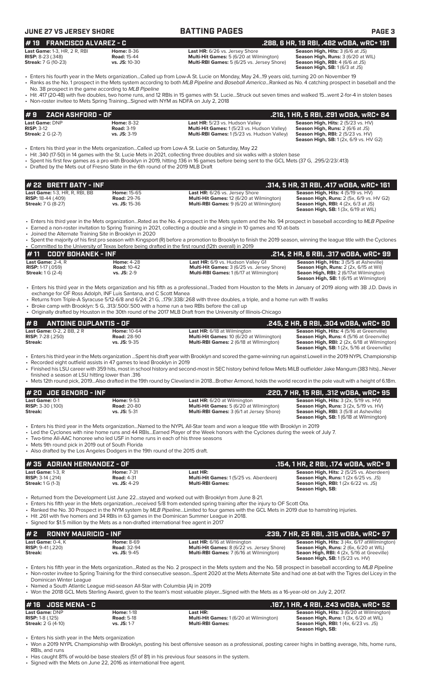## **JUNE 27 VS JERSEY SHORE BATTING PAGES PAGE 3**

| $#19$ FRANCISCO ALVAREZ - C |          |
|-----------------------------|----------|
| Last Game: 1-3 HR $2R$ RRI  | $HOMP$ . |

| <b>LAST ORITIC:</b> I-3, $\Box R$ , $\angle R$ , $\Box D$ | <b>HUILLE: 0-90</b>  |
|-----------------------------------------------------------|----------------------|
| <b>RISP:</b> $8-23$ (.348)                                | <b>Road: 15-44</b>   |
| <b>Streak:</b> 7 G (10-23)                                | <b>vs. JS: 10-30</b> |
|                                                           |                      |

**Last HR:** 6/26 vs. Jersey Shore **Season High, Hits:** 3 (6/6 at JS)<br>**Multi-Hit Games:** 5 (6/20 at Wilmington) **Season High, Runs:** 3 (6/20 at WIL) **Multi-Hit Games: 5 (6/20 at Wilmington) Multi-RBI Games:** 5 (6/25 vs. Jersey Shore)

**Season High, RBI:** 4 (6/6 at JS)<br>**Season High, SB:** 1 (6/3 at JS) **# 19 FRANCISCO ALVAREZ - C .288, 6 HR, 19 RBI, .482 wOBA, wRC+ 191**

• Enters his fourth year in the Mets organization...Called up from Low-A St. Lucie on Monday, May 24...19 years old, turning 20 on November 19 • Ranks as the No. 1 prospect in the Mets system according to both *MLB Pipeline* and *Baseball America*...Ranked as No. 4 catching prospect in baseball and the

No. 38 prospect in the game according to *MLB Pipeline* • Hit .417 (20-48) with five doubles, two home runs, and 12 RBIs in 15 games with St. Lucie...Struck out seven times and walked 15...went 2-for-4 in stolen bases

• Non-roster invitee to Mets Spring Training...Signed with NYM as NDFA on July 2, 2018

| $\bm{\sharp}$ 9 $\bm{\mathsf{ZACH}}$ ashford - Of . |                   |                                                    | .216, 1 HR, 5 RBI, .291 wOBA, wRC+ 84             |
|-----------------------------------------------------|-------------------|----------------------------------------------------|---------------------------------------------------|
| <b>Last Game: DNP</b>                               | <b>Home: 8-32</b> | Last HR: 5/23 vs. Hudson Valley                    | Season High, Hits: 2 (5/23 vs. HV)                |
| $RISP: 3-12$                                        | <b>Road: 3-19</b> | <b>Multi-Hit Games: 1 (5/23 vs. Hudson Valley)</b> | <b>Season High, Runs: 2 (6/6 at JS)</b>           |
| <b>Streak: 2 G (2-7)</b>                            | $vs.$ JS: $3-19$  | <b>Multi-RBI Games:</b> 1(5/23 vs. Hudson Valley)  | <b>Season High, RBI:</b> $2(5/23 \text{ vs. HV})$ |
|                                                     |                   |                                                    | <b>Season High, SB:</b> 1 (2x, 6/9 vs. HV G2)     |

• Enters his third year in the Mets organization...Called up from Low-A St. Lucie on Saturday, May 22

- Hit .340 (17-50) in 14 games with the St. Lucie Mets in 2021, collecting three doubles and six walks with a stolen base
- Spent his first few games as a pro with Brooklyn in 2019, hitting .136 in 16 games before being sent to the GCL Mets (37 G, .295/2/23/.413)
- Drafted by the Mets out of Fresno State in the 6th round of the 2019 MLB Draft

| $#$ 22 BRETT BATY - INF               |                      |                                                 | . .314, 5 HR, 31 RBI, .417 wOBA, wRC+ 161 '        |
|---------------------------------------|----------------------|-------------------------------------------------|----------------------------------------------------|
| <b>Last Game: 1-3. HR. R. RBI. BB</b> | <b>Home: 15-65</b>   | <b>Last HR:</b> 6/26 vs. Jersey Shore           | <b>Season High, Hits: 4 (5/19 vs. HV)</b>          |
| <b>RISP:</b> 18-44 (.409)             | <b>Road: 29-76</b>   | <b>Multi-Hit Games: 12 (6/20 at Wilmington)</b> | <b>Season High, Runs: 2 (5x, 6/9 vs. HV G2)</b>    |
| <b>Streak:</b> 7 G (8-27)             | <b>vs. JS:</b> 15-36 | <b>Multi-RBI Games:</b> 9 (6/20 at Wilmington)  | <b>Season High, RBI:</b> $4$ ( $2x$ , $6/3$ at JS) |
|                                       |                      |                                                 | <b>Season High, SB:</b> $1(3x, 6/19$ at WIL)       |

• Enters his third year in the Mets organization...Rated as the No. 4 prospect in the Mets system and the No. 94 prospect in baseball according to *MLB Pipeline*

- Earned a non-roster invitation to Spring Training in 2021, collecting a double and a single in 10 games and 10 at-bats • Joined the Alternate Training Site in Brooklyn in 2020
- Spent the majority of his first pro season with Kingsport (R) before a promotion to Brooklyn to finish the 2019 season, winning the league title with the Cyclones • Committed to the University of Texas before being drafted in the first round (12th overall) in 2019

| $\bm{\mu}$ 11 $\;$ CODY BOHANEK - INF $\;$ |                    |                                                   | .214, 2 HR, 6 RBI, .317 wOBA, wRC+ 99          |
|--------------------------------------------|--------------------|---------------------------------------------------|------------------------------------------------|
| <b>Last Game:</b> $2-4$ . $R$              | <b>Home: 4-28</b>  | <b>Last HR:</b> 6/9 vs. Hudson Valley G1          | <b>Season High, Hits: 3 (5/5 at Asheville)</b> |
| <b>RISP:</b> 1-17 $(.059)$                 | <b>Road: 10-42</b> | <b>Multi-Hit Games: 3 (6/25 vs. Jersey Shore)</b> | <b>Season High, Runs:</b> 2 (2x, 6/15 at Wil)  |
| <b>Streak:</b> 1 G (2-4)                   | <b>vs. JS: 2-9</b> | <b>Multi-RBI Games: 1 (6/17 at Wilmington)</b>    | <b>Seaon High, RBI:</b> 2 (6/17at Wilmington)  |
|                                            |                    |                                                   | <b>Season High, SB:</b> 1 (6/15 at Wilmington) |

- Enters his third year in the Mets organization and his fifth as a professional...Traded from Houston to the Mets in January of 2019 along with 3B J.D. Davis in exchange for OF Ross Adolph, INF Luis Santana, and C Scott Manea
- Returns from Triple-A Syracuse 5/12-6/8 and 6/24: 21 G, ..179/.338/.268 with three doubles, a triple, and a home run with 11 walks
- Broke camp with Brooklyn: 5 G, .313/.500/.500 with a home run a two RBIs before the call up
- Originally drafted by Houston in the 30th round of the 2017 MLB Draft from the University of Illinois-Chicago

| $\#$ 8 $\#$ antoine duplantis - of |                    |                                                | .245, 2 HR, 9 RBI, .304 wOBA, wRC+ 90               |
|------------------------------------|--------------------|------------------------------------------------|-----------------------------------------------------|
| <b>Last Game:</b> 0-2. 2 BB. 2 R   | <b>Home: 10-64</b> | <b>Last HR:</b> 6/18 at Wilmington             | <b>Season High, Hits: 4 (5/16 at Greenville)</b>    |
| <b>RISP:</b> 7-28 (.250)           | <b>Road: 28-90</b> | Multi-Hit Games: 10 (6/20 at Wilmington)       | Season High, Runs: 4 (5/16 at Greenville)           |
| Streak:                            | $vs.$ JS: $9-35$   | <b>Multi-RBI Games:</b> 2 (6/18 at Wilmington) | <b>Season High, RBI:</b> 2 (2x, 6/18 at Wilmington) |
|                                    |                    |                                                | <b>Season High, SB:</b> 1 (2x, 5/16 at Greenville)  |

- Enters his third year in the Mets organization ...Spent his draft year with Brooklyn and scored the game-winning run against Lowell in the 2019 NYPL Championship
- Recorded eight outfield assists in 47 games to lead Brooklyn in 2019
- Finished his LSU career with 359 hits, most in school history and second-most in SEC history behind fellow Mets MiLB outfielder Jake Mangum (383 hits)...Never finished a season at LSU hitting lower than .316
- Mets 12th round pick, 2019...Also drafted in the 19th round by Cleveland in 2018...Brother Armond, holds the world record in the pole vault with a height of 6.18m.

| $#$ 20 JDE GENORD - INF                             |                                         |                                                                                      | .220, 7 HR, 15 RBI, .312 wOBA, wRC+ 95                                                                    |
|-----------------------------------------------------|-----------------------------------------|--------------------------------------------------------------------------------------|-----------------------------------------------------------------------------------------------------------|
| <b>Last Game: 0-1</b><br><b>RISP:</b> $3-30$ (.100) | <b>Home: 9-53</b><br><b>Road: 20-80</b> | <b>Last HR:</b> 6/20 at Wilmington<br><b>Multi-Hit Games:</b> 5 (6/20 at Wilmington) | <b>Season High, Hits:</b> $3$ ( $2x$ , $5/19$ vs. $HV$ )<br><b>Season High, Runs: 3 (2x, 5/19 vs. HV)</b> |
| <b>Streak:</b>                                      | $vs.$ JS: $5-31$                        | <b>Multi-RBI Games:</b> 3 (6/1 at Jersey Shore)                                      | <b>Season High, RBI: 3 (5/8 at Asheville)</b><br><b>Season High, SB: 1 (6/18 at Wilmington)</b>           |

- Enters his third year in the Mets organization...Named to the NYPL All-Star team and won a league title with Brooklyn in 2019
- Led the Cyclones with nine home runs and 44 RBIs...Earned Player of the Week honors with the Cyclones during the week of July 7.
- Two-time All-AAC honoree who led USF in home runs in each of his three seasons

Mets 9th round pick in 2019 out of South Florida

• Also drafted by the Los Angeles Dodgers in the 19th round of the 2015 draft.

| $\#$ 35 ADRIAN HERNANDEZ - OF |                   |                                              | .154. 1 HR. 2 RBI. .174 wOBA. wRC+ 9                  |
|-------------------------------|-------------------|----------------------------------------------|-------------------------------------------------------|
| <b>Last Game:</b> 1-3. R      | <b>Home: 7-31</b> | Last HR:                                     | Season High, Hits: 2 (5/25 vs. Aberdeen)              |
| <b>RISP:</b> $3-14$ (.214)    | <b>Road: 4-31</b> | <b>Multi-Hit Games:</b> 1(5/25 vs. Aberdeen) | <b>Season High, Runs:</b> $1(2x 6/25 \text{ vs. JS})$ |
| <b>Streak:</b> 1 G (1-3)      | $vs.$ JS: 4-29    | <b>Multi-RBI Games:</b>                      | <b>Season High, RBI:</b> $1(2x 6/22 \text{ vs. JS})$  |
|                               |                   |                                              | Season High, SB:                                      |

- Returned from the Development List June 22...stayed and worked out with Brooklyn from June 8-21.
- Enters his fifth year in the Mets organization...received 5/8 from extended spring training after the injury to OF Scott Ota.
- Ranked the No. 30 Prospect in the NYM system by *MLB Pipeline...*Limited to four games with the GCL Mets in 2019 due to hamstring injuries.
- Hit .261 with five homers and 34 RBIs in 63 games in the Dominican Summer League in 2018.
- Signed for \$1.5 million by the Mets as a non-drafted international free agent in 2017

| $# 2$ RONNY MAURICIO - INF |                    |                                                   | .239, 7 HR, 25 RBI, .315 wOBA, wRC+ 97            |
|----------------------------|--------------------|---------------------------------------------------|---------------------------------------------------|
| Last Game: $0-4.$ K        | <b>Home: 8-69</b>  | <b>Last HR:</b> 6/16 at Wilmington                | Season High, Hits: 3 (4x, 6/17 at Wilmington)     |
| <b>RISP:</b> $9-41$ (.220) | <b>Road: 32-94</b> | <b>Multi-Hit Games:</b> 8 (6/22 vs. Jersey Shore) | <b>Season High, Runs:</b> 2 (6x, 6/20 at WIL)     |
| Streak:                    | $vs.$ JS: $9-45$   | <b>Multi-RBI Games: 7 (6/16 at Wilmington)</b>    | <b>Seaon High, RBI:</b> 4 (2x, 5/16 at Greeville) |
|                            |                    |                                                   | <b>Season High, SB: 1(5/23 vs. HV)</b>            |

• Enters his fifth year in the Mets organization...Rated as the No. 2 prospect in the Mets system and the No. 58 prospect in baseball according to *MLB Pipeline* • Non-roster invitee to Spring Training for the third consecutive season...Spent 2020 at the Mets Alternate Site and had one at-bat with the Tigres del Licey in the Dominican Winter League

- Named a South Atlantic League mid-season All-Star with Columbia (A) in 2019
- Won the 2018 GCL Mets Sterling Award, given to the team's most valuable player...Signed with the Mets as a 16-year-old on July 2, 2017.

| # 16 JOSE MENA - C        |                   |                                                | .167, 1 HR, 4 RBI, .243 wOBA, wRC+ 52                 |
|---------------------------|-------------------|------------------------------------------------|-------------------------------------------------------|
| <b>Last Game: DNP</b>     | <b>Home: 1-18</b> | Last HR:                                       | <b>Season High, Hits: 3 (6/20 at Wilmington)</b>      |
| <b>RISP:</b> 1-8 $(.125)$ | <b>Road: 5-18</b> | <b>Multi-Hit Games: 1 (6/20 at Wilmington)</b> | <b>Season High, Runs:</b> 1 (3x, 6/20 at WIL)         |
| <b>Streak:</b> 2 G (4-10) | $vs.$ JS: 1-7     | <b>Multi-RBI Games:</b>                        | <b>Season High, RBI:</b> $1(4x, 6/23 \text{ vs. JS})$ |
|                           |                   |                                                | Season High, SB:                                      |

Enters his sixth year in the Mets organization

• Has caught 81% of would-be base stealers (51 of 81) in his previous four seasons in the system. • Signed with the Mets on June 22, 2016 as international free agent.

<sup>•</sup> Won a 2019 NYPL Championship with Brooklyn, posting his best offensive season as a professional, posting career highs in batting average, hits, home runs, RBIs, and runs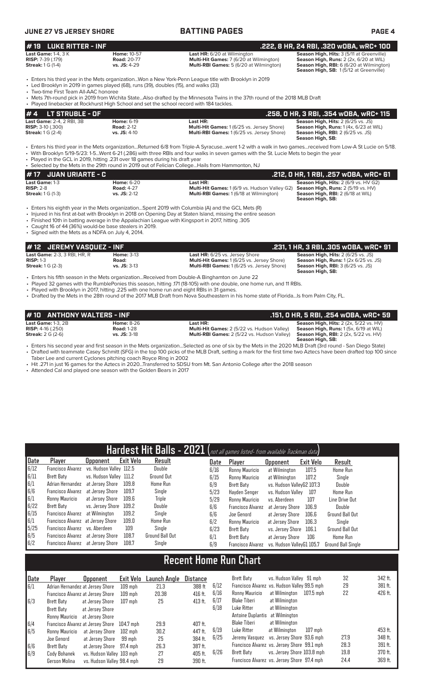| <b>JUNE 27 VS JERSEY SHORE</b>                                                                                                                     |                                                          | <b>BATTING PAGES</b>                                                                                                                                                                                                                                                                                                                                                                                                                                    | <b>PAGE 4</b>                                                                                                                                                             |
|----------------------------------------------------------------------------------------------------------------------------------------------------|----------------------------------------------------------|---------------------------------------------------------------------------------------------------------------------------------------------------------------------------------------------------------------------------------------------------------------------------------------------------------------------------------------------------------------------------------------------------------------------------------------------------------|---------------------------------------------------------------------------------------------------------------------------------------------------------------------------|
| <b>LUKE RITTER - INF</b><br>#19                                                                                                                    |                                                          |                                                                                                                                                                                                                                                                                                                                                                                                                                                         | .222, 8 HR, 24 RBI, .320 WOBA, WRC+ 100                                                                                                                                   |
| <b>Last Game: 1-4, 3 K</b><br><b>RISP:</b> 7-39 (.179)<br><b>Streak:</b> 1 G (1-4)                                                                 | <b>Home: 10-57</b><br><b>Road: 20-77</b><br>vs. JS: 4-29 | Last HR: 6/20 at Wilmington<br>Multi-Hit Games: 7 (6/20 at Wilmington)<br>Multi-RBI Games: 5 (6/20 at Wilmington)                                                                                                                                                                                                                                                                                                                                       | Season High, Hits: 3 (5/11 at Greenville)<br>Season High, Runs: 2 (2x, 6/20 at WIL)<br>Season High, RBI: 6 (6/20 at Wilmington)<br>Season High, SB: 1(5/12 at Greenville) |
| • Led Brooklyn in 2019 in games played (68), runs (39), doubles (15), and walks (33)<br>• Two-time First Team All-AAC honoree                      |                                                          | Enters his third year in the Mets organizationWon a New York-Penn League title with Brooklyn in 2019                                                                                                                                                                                                                                                                                                                                                    |                                                                                                                                                                           |
| • Played linebacker at Rockhurst High School and set the school record with 184 tackles.                                                           |                                                          | • Mets 7th-round pick in 2019 from Wichita StateAlso drafted by the Minnesota Twins in the 37th round of the 2018 MLB Draft                                                                                                                                                                                                                                                                                                                             |                                                                                                                                                                           |
| #4<br><b>LT STRUBLE - OF</b>                                                                                                                       |                                                          |                                                                                                                                                                                                                                                                                                                                                                                                                                                         | .258, 0 HR, 3 RBI, .354 w0BA, wRC+ 115                                                                                                                                    |
| Last Game: 2-4, 2 RBI, 3B<br><b>RISP: 3-10 (.300)</b><br><b>Streak:</b> 1 G (2-4)                                                                  | <b>Home: 6-19</b><br><b>Road: 2-12</b><br>vs. JS: 4-10   | Last HR:<br>Multi-Hit Games: 1 (6/25 vs. Jersey Shore)<br>Multi-RBI Games: 1 (6/25 vs. Jersey Shore)                                                                                                                                                                                                                                                                                                                                                    | Season High, Hits: 2 (6/25 vs. JS)<br>Season High, Runs: 1 (4x, 6/23 at WIL)<br><b>Season High, RBI:</b> 2 (6/25 vs. JS)<br>Season High, SB:                              |
| • Played in the GCL in 2019, hitting .231 over 18 games during his draft year                                                                      |                                                          | • Enters his third year in the Mets organizationReturned 6/8 from Triple-A Syracusewent 1-2 with a walk in two gamesreceived from Low-A St Lucie on 5/18.<br>• With Brooklyn 5/19-5/23: 1-5Went 6-21 (.286) with three RBIs and four walks in seven games with the St. Lucie Mets to begin the year<br>• Selected by the Mets in the 29th round in 2019 out of Felician College Hails from Hammonton, NJ                                                |                                                                                                                                                                           |
| <b>JUAN URIARTE - C</b><br>#17                                                                                                                     |                                                          |                                                                                                                                                                                                                                                                                                                                                                                                                                                         | .212, 0 HR, 1 RBI, .257 wOBA, wRC+ 61                                                                                                                                     |
| Last Game: 1-3<br><b>RISP: 2-8</b><br><b>Streak:</b> 1 G (1-3)                                                                                     | <b>Home: 6-20</b><br><b>Road: 4-27</b><br>vs. JS: 2-12   | Last HR:<br>Multi-Hit Games: 1 (6/9 vs. Hudson Valley G2)<br>Multi-RBI Games: 1 (6/18 at Wilmington)                                                                                                                                                                                                                                                                                                                                                    | Season High, Hits: 2 (6/9 vs. HV G2)<br>Season High, Runs: 2 (5/19 vs. HV)<br><b>Season High, RBI:</b> 2 (6/18 at WIL)<br>Season High, SB:                                |
| • Caught 16 of 44 (36%) would-be base stealers in 2019.<br>• Signed with the Mets as a NDFA on July 4, 2014.<br>#12<br><b>JEREMY VASQUEZ - INF</b> |                                                          | • Injured in his first at-bat with Brooklyn in 2018 on Opening Day at Staten Island, missing the entire season<br>. Finished 10th in batting average in the Appalachian League with Kingsport in 2017, hitting .305                                                                                                                                                                                                                                     | .231, 1 HR, 3 RBI, .305 WOBA, WRC+ 91                                                                                                                                     |
| Last Game: 2-3, 3 RBI, HR, R<br><b>RISP: 1-3</b><br><b>Streak:</b> 1 G (2-3)                                                                       | <b>Home: 3-13</b><br>Road:<br>vs. JS: 3-13               | Last HR: 6/25 vs. Jersey Shore<br>Multi-Hit Games: 1 (6/25 vs. Jersey Shore)<br>Multi-RBI Games: 1 (6/25 vs. Jersey Shore)                                                                                                                                                                                                                                                                                                                              | Season High, Hits: 2 (6/25 vs. JS)<br>Season High, Runs: 1 (2x 6/25 vs. JS)<br><b>Season High, RBI:</b> $3(6/25 \text{ vs. JS})$<br>Season High, SB:                      |
| • Played with Brooklyn in 2017, hitting .225 with one home run and eight RBIs in 31 games.                                                         |                                                          | Enters his fifth season in the Mets organizationReceived from Double-A Binghamton on June 22<br>• Played 32 games with the RumblePonies this season, hitting 171 (18-105) with one double, one home run, and 11 RBIs.                                                                                                                                                                                                                                   |                                                                                                                                                                           |
|                                                                                                                                                    |                                                          | • Drafted by the Mets in the 28th round of the 2017 MLB Draft from Nova Southeastern in his home state of FloridaIs from Palm City, FL.                                                                                                                                                                                                                                                                                                                 |                                                                                                                                                                           |
| <b>ANTHONY WALTERS - INF</b><br># 10                                                                                                               |                                                          |                                                                                                                                                                                                                                                                                                                                                                                                                                                         | .151, 0 HR, 5 RBI, .254 w0BA, wRC+ 59                                                                                                                                     |
| <b>Last Game: 1-3, 2B</b><br><b>RISP:</b> 4-16 (.250)<br><b>Streak: 2 G (2-6)</b>                                                                  | <b>Home: 8-26</b><br><b>Road: 1-28</b><br>vs. JS: 3-18   | Last HR:<br>Multi-Hit Games: 2 (5/22 vs. Hudson Valley) Season High, Runs: 1 (5x, 6/19 at WIL)<br><b>Multi-RBI Games:</b> 2 (5/22 vs. Hudson Valley) <b>Season High, RBI:</b> 2 (2x, 5/22 vs. HV)                                                                                                                                                                                                                                                       | Season High, Hits: 2 (2x, 5/22 vs. HV)<br>Season High, SB:                                                                                                                |
| Taber Lee and current Cyclones pitching coach Royce Ring in 2002<br>• Attended Cal and played one season with the Golden Bears in 2017             |                                                          | • Enters his second year and first season in the Mets organizationSelected as one of six by the Mets in the 2020 MLB Draft (3rd round - San Diego State)<br>• Drafted with teammate Casey Schmitt (SFG) in the top 100 picks of the MLB Draft, setting a mark for the first time two Aztecs have been drafted top 100 since<br>• Hit .271 in just 16 games for the Aztecs in 2020Transferred to SDSU from Mt. San Antonio College after the 2018 season |                                                                                                                                                                           |
|                                                                                                                                                    |                                                          |                                                                                                                                                                                                                                                                                                                                                                                                                                                         |                                                                                                                                                                           |
|                                                                                                                                                    |                                                          |                                                                                                                                                                                                                                                                                                                                                                                                                                                         |                                                                                                                                                                           |
|                                                                                                                                                    |                                                          |                                                                                                                                                                                                                                                                                                                                                                                                                                                         |                                                                                                                                                                           |
|                                                                                                                                                    |                                                          |                                                                                                                                                                                                                                                                                                                                                                                                                                                         |                                                                                                                                                                           |
|                                                                                                                                                    |                                                          | Hardoet Hit Ralle - 2021 (act all games listed from available                                                                                                                                                                                                                                                                                                                                                                                           |                                                                                                                                                                           |

|                                                    |                                           |                         |                  | Hardest Hit Balls - 2021 (not all games listed- from available Trackman data) |      |                          |                           |                  |                           |
|----------------------------------------------------|-------------------------------------------|-------------------------|------------------|-------------------------------------------------------------------------------|------|--------------------------|---------------------------|------------------|---------------------------|
| Date                                               | Player                                    | <b>Upponent</b>         | <b>Exit Velo</b> | Result                                                                        | Date | Player                   | <b>Opponent</b>           | <b>Exit Velo</b> | Result                    |
| 6/12                                               | Francisco Alvarez vs. Hudson Valley 112.5 |                         |                  | Double                                                                        | 6/16 | Ronny Mauricio           | at Wilmington             | 107.5            | <b>Home Run</b>           |
| $\frac{6/11}{6/1}$                                 | Brett Baty                                | vs. Hudson Valley 111.2 |                  | Ground Out                                                                    | 6/15 | Ronny Mauricio           | at Wilmington             | 107.2            | Single                    |
|                                                    | Adrian Hernandez                          | at Jersev Shore         | 109.8            | Home Run                                                                      | 6/9  | Brett Baty               | vs. Hudson VallevG2 107.3 |                  | Double                    |
|                                                    | Francisco Alvarez at Jersey Shore         |                         | 109.7            | Single                                                                        | 5/23 | Hayden Senger            | vs. Hudson Vallev         | 107              | <b>Home Run</b>           |
| $\begin{bmatrix} 6/6 \\ 6/1 \\ 6/22 \end{bmatrix}$ | Ronny Mauricio                            | at Jersev Shore         | 109.6            | Triple                                                                        | 5/29 | Ronny Mauricio           | vs. Aberdeen              | 107              | Line Drive Out            |
|                                                    | Brett Baty                                | vs. Jersey Shore 109.2  |                  | Double                                                                        | 6/6  | <b>Francisco Alvarez</b> | at Jersev Shore           | 106.9            | Double                    |
| 6/15                                               | Francisco Alvarez at Wilmington           |                         | 109.2            | Single                                                                        | 6/6  | Joe Genord               | at Jersey Shore           | 106.6            | <b>Ground Ball Out</b>    |
| 6/1                                                | Francisco Alvarez at Jersey Shore         |                         | 109.0            | Home Run                                                                      | 6/2  | Ronny Mauricio           | at Jersev Shore           | 106.3            | Single                    |
| 5/25                                               | Francisco Alvarez vs. Aberdeen            |                         | 109              | Single                                                                        | 6/23 | <b>Brett Baty</b>        | vs. Jersey Shore          | 106.1            | <b>Ground Ball Out</b>    |
| 6/5                                                | Francisco Alvarez at Jersey Shore         |                         | 108.7            | Ground Ball Out                                                               | 6/1  | Brett Baty               | at Jersey Shore           | 106              | Home Run                  |
| 6/2                                                | Francisco Alvarez at Jersey Shore         |                         | 108.7            | Single                                                                        | 6/9  | Francisco Alvarez        | vs. Hudson ValleyG1 105.7 |                  | <b>Ground Ball Single</b> |

# **Recent Home Run Chart**

| <b>Date</b> | Plaver         | Opponent                          | Exit Velo | <b>Launch Angle</b> | Distance |      | Brett Baty                      | vs. Hudson Valley 91 mph                     |           | 32   | 342 ft. |
|-------------|----------------|-----------------------------------|-----------|---------------------|----------|------|---------------------------------|----------------------------------------------|-----------|------|---------|
| 6/1         |                | Adrian Hernandez at Jersey Shore  | $109$ mph | 21.3                | 388 ft   | 6/12 |                                 | Francisco Alvarez vs. Hudson Valley 99.5 mph |           | 29   | 381 ft. |
|             |                | Francisco Alvarez at Jersey Shore | 109 mph   | 20.38               | 416 ft.  | 6/16 | Ronny Mauricio                  | at Wilmington                                | 107.5 mph | 22   | 426 ft. |
| 6/3         | Brett Baty     | at Jersev Shore                   | 107 mph   | 25                  | 413 ft.  | 6/17 | Blake Tiberi                    | at Wilmington                                |           |      |         |
|             | Brett Baty     | at Jersev Shore                   |           |                     |          | 6/18 | Luke Ritter                     | at Wilmington                                |           |      |         |
|             | Ronny Mauricio | at Jersey Shore                   |           |                     |          |      | Antoine Duplantis at Wilmington |                                              |           |      |         |
| 6/4         |                | Francisco Alvarez at Jersey Shore | 104.7 mph | 29.9                | 407 ft.  |      | Blake Tiberi                    | at Wilmington                                |           |      |         |
| 6/5         | Ronny Mauricio | at Jersey Shore                   | 102 mph   | 30.2                | 447 ft.  | 6/19 | Luke Ritter                     | at Wilmington                                | $107$ mph |      | 453 ft. |
|             | Joe Genord     | at Jersev Shore                   | 99 mph    | 25                  | 384 ft.  | 6/25 |                                 | Jeremy Vasquez vs. Jersey Shore 93.6 mph     |           | 27.9 | 348 ft. |
| 6/6         | Brett Baty     | at Jersey Shore 97.4 mph          |           | 26.3                | 387 ft.  |      |                                 | Francisco Alvarez vs. Jersey Shore 99.1 mph  |           | 28.3 | 391 ft. |
| 6/9         | Cody Bohanek   | vs. Hudson Valley 103 mph         |           | 27                  | 405 ft.  | 6/26 | Brett Baty                      | vs. Jersey Shore 103.8 mph                   |           | 19.8 | 370 ft. |
|             | Gerson Molina  | vs. Hudson Valley 98.4 mph        |           | 29                  | 390 ft.  |      |                                 | Francisco Alvarez vs. Jersey Shore 97.4 mph  |           | 24.4 | 369 ft. |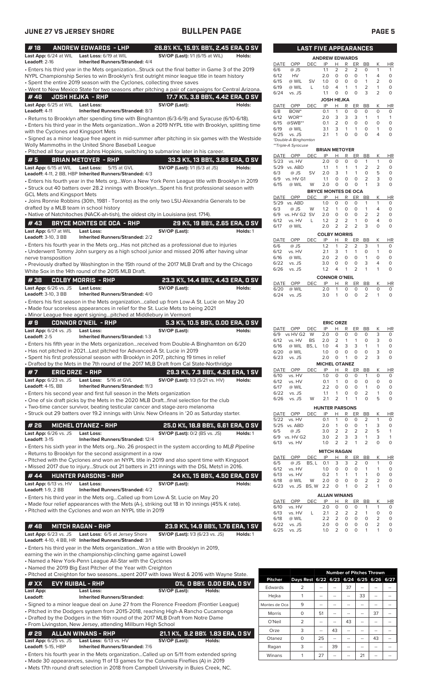| #18                        |                                                   | <b>ANDREW EDWARDS - LHP</b>                                              | 26.8% K%, 15.9% BB%, 2.45 ERA, 0 SV                                                                                                                                                          |           |
|----------------------------|---------------------------------------------------|--------------------------------------------------------------------------|----------------------------------------------------------------------------------------------------------------------------------------------------------------------------------------------|-----------|
| Leadoff: 2-16              | Last App: 6/24 at WIL                             | Last Loss: 6/19 at WIL<br><b>Inherited Runners/Stranded: 4/4</b>         | SV/OP (Last): 1/1 (6/15 at WIL)<br>Holds:                                                                                                                                                    |           |
|                            |                                                   |                                                                          | . Enters his third year in the Mets organizationStruck out the final batter in Game 3 of the 2019                                                                                            |           |
|                            |                                                   |                                                                          | NYPL Championship Series to win Brooklyn's first outright minor league title in team history                                                                                                 |           |
|                            |                                                   | • Spent the entire 2019 season with the Cyclones, collecting three saves |                                                                                                                                                                                              |           |
| #46                        |                                                   | <b>JOSH HEJKA - RHP</b>                                                  | . Went to New Mexico State for two seasons after pitching a pair of campaigns for Central Arizona.<br>17.7 K%, 3.8 BB%, 4.42 ERA, 0 SV                                                       |           |
|                            | Last App: 6/25 at WIL                             | <b>Last Loss:</b>                                                        | SV/OP (Last):<br>Holds:                                                                                                                                                                      |           |
| Leadoff: 4-11              |                                                   | <b>Inherited Runners/Stranded: 8/3</b>                                   |                                                                                                                                                                                              |           |
|                            |                                                   |                                                                          | • Returns to Brooklyn after spending time with Binghamton (6/3-6/9) and Syracuse (6/10-6/18).                                                                                                |           |
|                            |                                                   | with the Cyclones and Kingsport Mets                                     | Enters his third year in the Mets organizationWon a 2019 NYPL title with Brooklyn, splitting time                                                                                            |           |
|                            |                                                   |                                                                          | · Signed as a minor league free agent in mid-summer after pitching in six games with the Westside                                                                                            |           |
|                            |                                                   | Wolly Mammoths in the United Shore Baseball League                       |                                                                                                                                                                                              |           |
| #5                         |                                                   |                                                                          | . Pitched all four years at Johns Hopkins, switching to submarine later in his career.                                                                                                       |           |
|                            | Last App: 6/15 at WIL                             | <b>BRIAN METOYER - RHP</b><br><b>Last Loss:</b><br>5/15 at GVL           | 33.3 K%, 13 BB%, 3.86 ERA, 0 SV<br><b>SV/OP (Last):</b> 1/1 (6/3 at JS)<br>Holds:                                                                                                            |           |
|                            |                                                   | Leadoff: 4-11, 2 BB, HBP Inherited Runners/Stranded: 4/3                 |                                                                                                                                                                                              |           |
|                            |                                                   |                                                                          | · Enters his fourth year in the Mets orgWon a New York Penn League title with Brooklyn in 2019                                                                                               |           |
|                            | <b>GCL Mets and Kingsport Mets</b>                |                                                                          | • Struck out 40 batters over 28.2 innings with BrooklynSpent his first professional season with                                                                                              |           |
|                            |                                                   |                                                                          | • Joins Ronnie Robbins (30th, 1981 - Toronto) as the only two LSU-Alexandria Generals to be                                                                                                  |           |
|                            |                                                   | drafted by a MLB team in school history                                  |                                                                                                                                                                                              |           |
|                            |                                                   |                                                                          | • Native of Natchitoches (NACK-ah-tish), the oldest city in Louisiana (est. 1714).                                                                                                           |           |
| #43                        |                                                   | <b>BRYCE MONTES DE OCA - RHP</b>                                         | 29 K%, 19 BB%, 2.65 ERA, 0 SV                                                                                                                                                                |           |
| <b>Leadoff: 3-10, 3 BB</b> | Last App: 6/17 at WIL                             | <b>Last Loss:</b><br><b>Inherited Runners/Stranded: 2/2</b>              | SV/OP (Last):<br>Holds: 1                                                                                                                                                                    |           |
|                            |                                                   |                                                                          | • Enters his fourth year in the Mets orgHas not pitched as a professional due to injuries                                                                                                    |           |
|                            |                                                   |                                                                          | • Underwent Tommy John surgery as a high school junior and missed 2016 after having ulnar                                                                                                    |           |
|                            | nerve transposition                               |                                                                          | • Previously drafted by Washington in the 15th round of the 2017 MLB Draft and by the Chicago                                                                                                |           |
|                            |                                                   | White Sox in the 14th round of the 2015 MLB Draft.                       |                                                                                                                                                                                              |           |
| #38                        |                                                   | <b>COLBY MORRIS - RHP</b>                                                | 23.3 K%, 14.4 BB%, 4.43 ERA, 0 SV                                                                                                                                                            |           |
|                            | Last App: 6/26 vs. JS                             | <b>Last Loss:</b>                                                        | SV/OP (Last):<br>Holds:                                                                                                                                                                      |           |
| Leadoff: 3-10, 3 BB        |                                                   | <b>Inherited Runners/Stranded: 4/0</b>                                   |                                                                                                                                                                                              |           |
|                            |                                                   |                                                                          | · Enters his first season in the Mets organizationcalled up from Low-A St. Lucie on May 20<br>• Made four scoreless appearances in relief for the St. Lucie Mets to being 2021               |           |
|                            |                                                   | • Minor League free agent signingpitched at Middlebury in Vermont        |                                                                                                                                                                                              |           |
| #9                         |                                                   | <b>CONNOR O'NEIL - RHP</b>                                               | 5.3 K%, 10.5 BB%, 0.00 ERA, 0 SV                                                                                                                                                             |           |
|                            | Last App: 6/24 vs. JS                             | <b>Last Loss:</b>                                                        | SV/OP (Last):<br>Holds:                                                                                                                                                                      |           |
| Leadoff: 2-5               |                                                   | Inherited Runners/Stranded: 1-3                                          | · Enters his fifth year in the Mets organizationreceived from Double-A Binghamton on 6/20                                                                                                    |           |
|                            |                                                   | • Has not pitched in 2021Last pitched for Advanced-A St. Lucie in 2019   |                                                                                                                                                                                              |           |
|                            |                                                   |                                                                          | · Spent his first professional season with Brooklyn in 2017, pitching 19 times in relief                                                                                                     |           |
|                            |                                                   |                                                                          | • Drafted by the Mets in the 7th round of the 2017 MLB Draft from Cal State-Northridge                                                                                                       |           |
| #7                         | <b>ERIC ORZE - RHP</b><br>Last App: $6/23$ vs. JS | Last Loss: 5/16 at GVL                                                   | 29.3 K%, 7.3 BB%, 4.26 ERA, 1 SV<br><b>SV/OP (Last):</b> 1/3 (5/21 vs. HV)<br>Holds:                                                                                                         |           |
| Leadoff: 4-15, BB          |                                                   | Inherited Runners/Stranded: 11/3                                         |                                                                                                                                                                                              |           |
|                            |                                                   | • Enters his second year and first full season in the Mets organization  |                                                                                                                                                                                              |           |
|                            |                                                   |                                                                          | • One of six draft picks by the Mets in the 2020 MLB Draftfinal selection for the club<br>• Two-time cancer survivor, beating testicular cancer and stage-zero melanoma                      |           |
|                            |                                                   |                                                                          | • Struck out 29 batters over 19.2 innings with Univ. New Orleans in '20 as Saturday starter.                                                                                                 |           |
|                            |                                                   |                                                                          |                                                                                                                                                                                              |           |
| #26                        | <b>Last App:</b> 6/26 vs. JS                      | <b>MICHEL OTANEZ - RHP</b><br><b>Last Loss:</b>                          | 25.0 K%, 18.8 BB%, 6.61 ERA, 0 SV<br><b>SV/OP (Last): 0/2 (BS vs. JS)</b><br>Holds: 1                                                                                                        |           |
| Leadoff: 3-15              |                                                   | Inherited Runners/Stranded: 12/4                                         |                                                                                                                                                                                              |           |
|                            |                                                   |                                                                          | • Enters his sixth year in the Mets orgNo. 26 prospect in the system according to MLB Pipeline                                                                                               |           |
|                            |                                                   | • Returns to Brooklyn for the second assignment in a row                 |                                                                                                                                                                                              |           |
|                            |                                                   |                                                                          | • Pitched with the Cyclones and won an NYPL title in 2019 and also spent time with Kingsport<br>. Missed 2017 due to injuryStruck out 21 batters in 21.1 innings with the DSL Mets1 in 2016. |           |
| #44                        |                                                   | <b>HUNTER PARSONS - RHP</b>                                              | 24 K%, 15 BB%, 4.50 ERA, 0 SV                                                                                                                                                                |           |
|                            | Last App: 6/13 vs. HV                             | <b>Last Loss:</b>                                                        | SV/OP (Last):<br>Holds:                                                                                                                                                                      |           |
| <b>Leadoff: 1-9, 2 BB</b>  |                                                   | <b>Inherited Runners/Stranded: 4/2</b>                                   |                                                                                                                                                                                              |           |
|                            |                                                   |                                                                          | • Enters his third year in the Mets orgCalled up from Low-A St. Lucie on May 20<br>• Made four relief appearances with the Mets (A-), striking out 18 in 10 innings (45% K rate).            |           |
|                            |                                                   | • Pitched with the Cyclones and won an NYPL title in 2019                |                                                                                                                                                                                              |           |
|                            |                                                   |                                                                          |                                                                                                                                                                                              |           |
| #48                        |                                                   | <b>MITCH RAGAN - RHP</b>                                                 | 23.9 K%, 14.9 BB%, 1.76 ERA, 1 SV                                                                                                                                                            |           |
|                            | Last App: $6/23$ vs. JS                           | Last Loss: 6/5 at Jersey Shore                                           | <b>SV/OP (Last):</b> 1/3 (6/23 vs. JS)<br>Holds: 1                                                                                                                                           |           |
|                            |                                                   | Leadoff: 4-10, 4 BB, HR Inherited Runners/Stranded: 3/1                  | • Enters his third year in the Mets organizationWon a title with Brooklyn in 2019,                                                                                                           |           |
|                            |                                                   | earning the win in the championship-clinching game against Lowell        |                                                                                                                                                                                              |           |
|                            |                                                   | • Named a New York-Penn League All-Star with the Cyclones                |                                                                                                                                                                                              |           |
|                            |                                                   | • Named the 2019 Big East Pitcher of the Year with Creighton             | . Pitched at Creighton for two seasonsspent 2017 with lowa West & 2016 with Wayne State.                                                                                                     |           |
| # XX                       |                                                   | <b>EVY RUIBAL - RHP</b>                                                  | 0%, 0 BB% 0.00 ERA, 0 SV                                                                                                                                                                     | Pitche    |
| Last App:                  |                                                   | <b>Last Loss:</b>                                                        | SV/OP (Last):<br>Holds:                                                                                                                                                                      | Edwar     |
| Leadoff:                   |                                                   | <b>Inherited Runners/Stranded:</b>                                       |                                                                                                                                                                                              | Hejka     |
|                            |                                                   |                                                                          | • Signed to a minor league deal on June 27 from the Florence Freedom (Frontier League)                                                                                                       | Montes de |
|                            |                                                   |                                                                          | • Pitched in the Dodgers system from 2015-2018, reaching High-A Rancho Cucamonga<br>• Drafted by the Dodgers in the 16th round of the 2017 MLB Draft from Notre Dame                         | Morri     |
|                            |                                                   | • From Livingston, New Jersey, attending Millburn High School            |                                                                                                                                                                                              | O'Ne      |
| # 29                       |                                                   | <b>ALLAN WINANS - RHP</b>                                                | 21.1 K%, 9.2 BB% 1.83 ERA, 0 SV                                                                                                                                                              | Orze      |
|                            | Last App: 6/25 vs. JS                             | Last Loss: 6/13 vs. HV                                                   | SV/OP (Last):<br>Holds:                                                                                                                                                                      | Otane     |
| Leadoff: 5-15, HBP         |                                                   | <b>Inherited Runners/Stranded: 7/6</b>                                   |                                                                                                                                                                                              | Raga      |
|                            |                                                   |                                                                          | • Enters his fourth year in the Mets organizationCalled up on 5/11 from extended spring<br>Made 30 appearances, saving 11 of 13 games for the Columbia Fireflies (A) in 2019                 | Winar     |

• Made 30 appearances, saving 11 of 13 games for the Columbia Fireflies (A) in 2019 • Mets 17th round draft selection in 2018 from Campbell University in Buies Creek, NC.

### **LAST FIVE APPEARANCES ANDREW EDWARDS** DATE OPP DEC IP H R ER BB K HR 6/6 @ JS 1.1 2 2 2 0 1 1 6/12 HV 2.0 0 0 0 1 4 0

| 6/15         | @ WIL                  | SV                         | 1.0                         | 0                          | 0      | 0              | 1              | 2      | 0              |
|--------------|------------------------|----------------------------|-----------------------------|----------------------------|--------|----------------|----------------|--------|----------------|
| 6/19<br>6/24 | @ WIL<br>vs. JS        | L                          | 1.0<br>1.1                  | 4<br>0                     | 1<br>0 | 1<br>0         | 2<br>3         | 1<br>2 | 0<br>0         |
|              |                        |                            | <b>JOSH HEJKA</b>           |                            |        |                |                |        |                |
| DATE         | OPP                    | DEC                        | IP                          | н                          | R      | ER             | <b>BB</b>      | Κ      | HR             |
| 6/8          | BOW <sup>*</sup>       |                            | 0.1                         | 1                          | 0      | 0              | 0              | 0      | 0              |
| 6/12         | WOR**                  |                            | 2.0                         | 3                          | 3      | 3              | 1              | 1      | 1              |
| 6/15         | @SWB**                 |                            | 0.1                         | $\overline{2}$             | 0      | 0              | 0              | 0      | 0              |
| 6/19<br>6/25 | @ WIL<br>vs. JS        |                            | 3.1<br>2.1                  | 3<br>1                     | 1<br>0 | 1<br>0         | 0<br>0         | 1<br>4 | 0<br>0         |
|              | *Double-A Binghamton   |                            |                             |                            |        |                |                |        |                |
|              | **Triple-A Syracuse    |                            | <b>BRIAN METOYER</b>        |                            |        |                |                |        |                |
| DATE         | OPP                    | DEC                        | IP                          | Н                          | R      | ER             | BB             | Κ      | ΗR             |
| 5/23         | vs. HV                 |                            | 2.0                         | 0                          | 0      | 0              | 1              | 1      | 0              |
| 5/29         | vs. ABD                |                            | 1.1                         | 1                          | 1      | 1              | 2              | 2      | 0              |
| 6/3          | @ JS                   | SV                         | 2.0                         | 3                          | 1      | 1              | 0              | 5      | 0              |
| 6/9<br>6/15  | vs. HV G1<br>@ WIL     | W                          | 1.1<br>2.0                  | 0<br>0                     | 0<br>0 | 0<br>0         | 2<br>1         | 3<br>3 | 0<br>0         |
|              |                        | <b>BRYCE MONTES DE OCA</b> |                             |                            |        |                |                |        |                |
|              | DATE OPP               | DEC                        | IP                          | н                          | R      | ER             | <b>BB</b>      | Κ      | HR             |
| 5/29         | vs. ABD                |                            | 1.0                         | 0                          | 0      | 0              | 1              | 1      | 0              |
| 6/3          | @ JS                   | W                          | 1.2                         | 1                          | 0      | 0              | 1              | 4      | 0              |
| 6/9<br>6/12  | vs. HV G2<br>vs. HV    | SV<br>L                    | 2.0<br>1.2                  | 0<br>2                     | 0<br>2 | 0<br>1         | 2<br>0         | 2<br>4 | 0              |
| 6/17         | @ WIL                  |                            | 2.0                         | 2                          | 2      | $\overline{2}$ | 3              | 0      | 0<br>0         |
|              |                        |                            | <b>COLBY MORRIS</b>         |                            |        |                |                |        |                |
| DATE         | OPP                    | DEC                        | ΙP                          | Н                          | R      | ER             | <b>BB</b>      | Κ      | ΗR             |
| 6/6          | @ JS                   |                            | 1.2                         | 1                          | 2      | 2              | 3              | 1      | 0              |
| 6/12         | vs. HV                 |                            | 2.1                         | 3                          | 1      | 1              | 0              | 1      | 0              |
| 6/16         | @ WIL                  |                            | 2.0                         | 2                          | 0      | 0              | 1              | 0      | 0              |
| 6/22<br>6/26 | vs. JS<br>vs. JS       |                            | 3.0<br>1.2                  | 0<br>4                     | 0<br>1 | 0<br>2         | 3<br>1         | 4<br>1 | 0<br>0         |
|              |                        |                            |                             |                            |        |                |                |        |                |
| DATE         | OPP                    | DEC                        | <b>CONNOR O'NEIL</b><br>ΙP  | Н                          | R      | ER             | ВB             | Κ      | ΗR             |
| 6/20         | @ WIL                  |                            | 2.0                         | 1                          | 0      | 0              | 0              | 0      | 0              |
| 6/24         | vs. JS                 |                            | 3.0                         | 1                          | 0      | 0              | $\overline{2}$ | 1      | 0              |
| DATE<br>6/9  | <b>OPP</b><br>vs HV G2 | DEC<br>W                   | IP<br>2.0                   | <b>ERIC ORZE</b><br>н<br>0 | R<br>0 | ER<br>0        | <b>BB</b><br>0 | Κ<br>3 | <b>HR</b><br>0 |
| 6/12         | vs. HV                 | <b>BS</b>                  | 2.0                         | 2                          | 1      | 1              | 0              | 3      | 0              |
| 6/16         | @ WIL                  | BS, L                      | 1.0                         | 4                          | 3      | 3              | 1              | 1      | 0              |
| 6/20         | @ WIL                  |                            | 1.0                         | 0                          | 0      | 0              | 0              | 3      | 0              |
| 6/23         | vs. JS                 |                            | 2.0<br><b>MICHEL OTANEZ</b> | 0                          | 1      | 0              | $\overline{2}$ | 3      | 0              |
| DATE         | OPP                    | DEC                        | IP                          | Н                          | R      | ER             | BB             | Κ      | HR             |
| 6/10         | vs. HV                 |                            | 1.0                         | 0                          | 0      | 0              | 1              | 0      | 0              |
| 6/12         | vs. HV                 |                            | 0.1                         | 1                          | 0      | 0              | 0              | O      | 0              |
| 6/17         | @ WIL                  |                            | 2.2                         | 0                          | 0      | 0              | $\mathbf{1}$   | 0      | 0              |
| 6/22<br>6/26 | vs. JS<br>vs. JS       | W                          | 1.1<br>2.1                  | 1<br>2                     | 0<br>1 | 0<br>1         | 2<br>0         | 1<br>5 | 0<br>0         |
|              |                        |                            |                             |                            |        |                |                |        |                |
|              | DATE OPP               | DEC                        | <b>HUNTER PARSONS</b><br>IP | н                          | R      |                | ER BB          | Κ      | HR             |
| 5/22         | vs. HV                 |                            | 0.1                         | 1                          | 0      | 0              | 2              | 1      | 0              |
| 5/25         |                        |                            |                             | 1                          | 0      | 0              | $\mathbf{1}$   | 3      | 0              |
|              | vs. ABD                |                            | 2.0                         |                            |        |                |                |        |                |
| 6/5          | @ JS                   |                            | 3.0                         | 2                          | 2      | 2              | 2              | 5      | 1              |
| 6/9          | vs. HV G2              |                            | 3.0                         | 2                          | 3      | 3              | 1              | 3      | 1              |
| 6/13         | vs. HV                 |                            | 1.0                         | 2                          | 2      | 1              | $\overline{2}$ | 0      | 0              |
|              |                        |                            | <b>MITCH RAGAN</b>          |                            |        |                |                |        |                |
| DATE         | OPP                    | DEC                        | ΙP                          | н                          | R      | ER             | BB             | Κ      | H <sub>R</sub> |
| 6/5<br>6/12  | @ JS                   | BS, L                      | 0.1                         | 3                          | 3      | 2              | 0              | 1      | 0              |
| 6/13         | vs. HV<br>vs. HV       |                            | 1.0<br>0.2                  | 0<br>1                     | 0<br>1 | 0<br>1         | 1<br>1         | 1<br>0 | 0<br>0         |
| 6/18         | @ WIL                  | W                          | 2.0                         | 0                          | 0      | 0              | 2              | 2      | 0              |
| 6/23         | vs. JS                 | BS, W                      | 2.2                         | 0                          | 1      | 0              | 2              | 1      | 0              |

|          |        |      | <b>ALLAN WINANS</b> |          |                  |          |          |               |    |
|----------|--------|------|---------------------|----------|------------------|----------|----------|---------------|----|
| DATE OPP |        | DEC. | IP H                |          |                  |          | R ER BB  | K .           | HR |
| 6/10     | vs. HV |      | 2 O                 | $\Omega$ | $\Omega$         | $\Omega$ | 1        |               |    |
| 6/13     | vs HV  | Ι.   | 21                  |          |                  | 2 2 2    | -1       | O             |    |
| 6/18     | @ WIL  |      | 22.2                |          | $\Omega$         | O        | $\Omega$ | 2             |    |
| 6/22     | vs. JS |      | 2 O                 | O.       | O                | O        | O        | $\mathcal{P}$ |    |
| 6/25     | vs. JS |      | 1 N                 |          | $\left( \right)$ | O        |          |               |    |

|                |                                         |    |    |    |    | <b>Number of Pitches Thrown</b> |  |
|----------------|-----------------------------------------|----|----|----|----|---------------------------------|--|
| <b>Pitcher</b> | Days Rest 6/22 6/23 6/24 6/25 6/26 6/27 |    |    |    |    |                                 |  |
| Edwards        | 2                                       |    |    | 37 |    |                                 |  |
| Hejka          |                                         | -- | -- |    | 33 |                                 |  |
| Montes de Oca  | 9                                       | -- |    |    |    |                                 |  |
| Morris         | 0                                       | 51 |    |    |    | 37                              |  |
| O'Neil         | $\overline{2}$                          |    |    | 43 |    |                                 |  |
| Orze           | 3                                       | -- | 43 |    | -- |                                 |  |
| Otanez         | 0                                       | 25 | -- |    |    | 43                              |  |
| Ragan          | 3                                       |    | 39 |    |    |                                 |  |
| Winans         |                                         | 27 |    |    | 21 |                                 |  |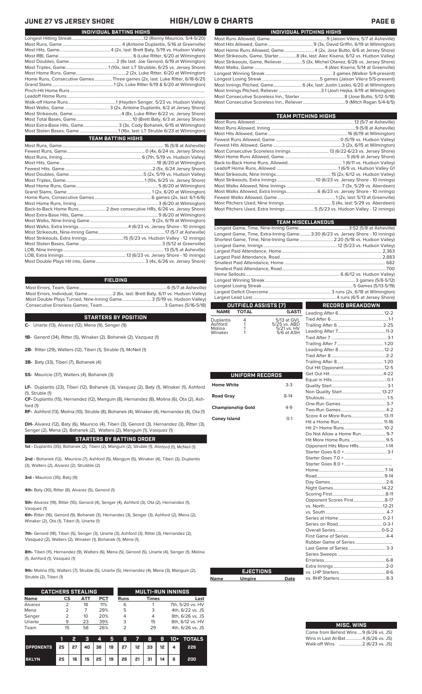### **JUNE 27 VS JERSEY SHORE HIGH/LOW & CHARTS PAGE 6**

**Name** 

| INDIVIDUAL PITCHING HIGHS                                                       |
|---------------------------------------------------------------------------------|
|                                                                                 |
|                                                                                 |
| Most Home Runs Allowed, Game4 (2x, Jose Butto, 6/6 at Jersey Shore)             |
| Most Strikeouts, Game, Starter8 (4x, last: Alec Kisena, 6/12 vs. Hudson Valley) |
| Most Strikeouts, Game, Reliever5 (3x, Michel Otanez, 6/26 vs. Jersey Shore)     |
|                                                                                 |
|                                                                                 |
|                                                                                 |
| Most Innings Pitched, Game 6 (4x, last: Justin Lasko, 6/20 at Wilmington)       |
|                                                                                 |
|                                                                                 |
|                                                                                 |

| TEAM PITCHING HIGHS                                                       |
|---------------------------------------------------------------------------|
|                                                                           |
|                                                                           |
|                                                                           |
|                                                                           |
|                                                                           |
|                                                                           |
|                                                                           |
|                                                                           |
|                                                                           |
|                                                                           |
|                                                                           |
|                                                                           |
|                                                                           |
|                                                                           |
|                                                                           |
| Most Pitchers Used, Extra Innings 5 (5/23 vs. Hudson Valley - 12 innings) |
|                                                                           |

|                          |                      |                             | <b>TEAM MISCELLANEOUS</b>                                                      |  |  |  |  |  |  |
|--------------------------|----------------------|-----------------------------|--------------------------------------------------------------------------------|--|--|--|--|--|--|
|                          |                      |                             |                                                                                |  |  |  |  |  |  |
|                          |                      |                             | Longest Game, Time, Extra-Inning Game3:30 (6/23 vs. Jersey Shore - 10 innings) |  |  |  |  |  |  |
|                          |                      |                             | Shortest Game, Time, Nine-Inning Game  2:20 (5/18 vs. Hudson Valley)           |  |  |  |  |  |  |
|                          |                      |                             |                                                                                |  |  |  |  |  |  |
|                          |                      |                             |                                                                                |  |  |  |  |  |  |
|                          |                      |                             |                                                                                |  |  |  |  |  |  |
|                          |                      |                             |                                                                                |  |  |  |  |  |  |
|                          |                      |                             |                                                                                |  |  |  |  |  |  |
|                          |                      |                             |                                                                                |  |  |  |  |  |  |
|                          |                      |                             |                                                                                |  |  |  |  |  |  |
|                          |                      |                             |                                                                                |  |  |  |  |  |  |
|                          |                      |                             |                                                                                |  |  |  |  |  |  |
|                          | OUTFIELD ASSISTS (7) |                             | RECORD BREAKDOWN                                                               |  |  |  |  |  |  |
| <b>NAME</b>              | <b>TOTAL</b>         | (LAST)                      |                                                                                |  |  |  |  |  |  |
| Duplantis                | 4                    | 5/13 at GVL                 |                                                                                |  |  |  |  |  |  |
| Ashford<br>Molina        | 1<br>1               | 5/25 vs. ABD<br>5/21 vs. HV |                                                                                |  |  |  |  |  |  |
| Winaker                  | 1                    | 5/6 at ASH                  |                                                                                |  |  |  |  |  |  |
|                          |                      |                             |                                                                                |  |  |  |  |  |  |
|                          |                      |                             |                                                                                |  |  |  |  |  |  |
|                          |                      |                             |                                                                                |  |  |  |  |  |  |
|                          |                      |                             |                                                                                |  |  |  |  |  |  |
|                          |                      |                             |                                                                                |  |  |  |  |  |  |
|                          |                      |                             |                                                                                |  |  |  |  |  |  |
|                          | UNIFORM RECORDS      |                             |                                                                                |  |  |  |  |  |  |
| <b>Home White</b>        |                      | $3-3$                       |                                                                                |  |  |  |  |  |  |
|                          |                      |                             |                                                                                |  |  |  |  |  |  |
| <b>Road Gray</b>         |                      | $8-14$                      |                                                                                |  |  |  |  |  |  |
|                          |                      |                             |                                                                                |  |  |  |  |  |  |
| <b>Championship Gold</b> |                      | 4-9                         |                                                                                |  |  |  |  |  |  |
| <b>Coney Island</b>      |                      | $O-1$                       | Score 4 or More Runs 13-11                                                     |  |  |  |  |  |  |
|                          |                      |                             |                                                                                |  |  |  |  |  |  |
|                          |                      |                             |                                                                                |  |  |  |  |  |  |
|                          |                      |                             |                                                                                |  |  |  |  |  |  |
|                          |                      |                             | Opponent Hits More HRs1-14                                                     |  |  |  |  |  |  |
|                          |                      |                             |                                                                                |  |  |  |  |  |  |
|                          |                      |                             |                                                                                |  |  |  |  |  |  |
|                          |                      |                             |                                                                                |  |  |  |  |  |  |
|                          |                      |                             |                                                                                |  |  |  |  |  |  |
|                          |                      |                             |                                                                                |  |  |  |  |  |  |
|                          |                      |                             |                                                                                |  |  |  |  |  |  |
|                          |                      |                             |                                                                                |  |  |  |  |  |  |
|                          |                      |                             |                                                                                |  |  |  |  |  |  |
|                          |                      |                             | Opponent Scores First8-17                                                      |  |  |  |  |  |  |
|                          |                      |                             |                                                                                |  |  |  |  |  |  |
|                          |                      |                             |                                                                                |  |  |  |  |  |  |
|                          |                      |                             |                                                                                |  |  |  |  |  |  |
|                          |                      |                             |                                                                                |  |  |  |  |  |  |
|                          |                      |                             |                                                                                |  |  |  |  |  |  |
|                          |                      |                             |                                                                                |  |  |  |  |  |  |
|                          |                      |                             | Last Game of Series  3-3                                                       |  |  |  |  |  |  |
|                          |                      |                             |                                                                                |  |  |  |  |  |  |
|                          |                      |                             |                                                                                |  |  |  |  |  |  |
|                          |                      |                             |                                                                                |  |  |  |  |  |  |
|                          | <b>EJECTIONS</b>     |                             |                                                                                |  |  |  |  |  |  |
| Name                     | <b>Umpire</b>        | Date                        |                                                                                |  |  |  |  |  |  |

# **MISC. WINS**

| Come from Behind Wins 9 (6/26 vs. JS) |  |  |
|---------------------------------------|--|--|
| Wins in Last At-Bat4 (6/26 vs. JS)    |  |  |
| Walk-off Wins    2 (6/23 vs. JS)      |  |  |

| INDIVIDUAL BATTING HIGHS |                                                                            |  |  |  |  |  |
|--------------------------|----------------------------------------------------------------------------|--|--|--|--|--|
|                          |                                                                            |  |  |  |  |  |
|                          |                                                                            |  |  |  |  |  |
|                          |                                                                            |  |  |  |  |  |
|                          |                                                                            |  |  |  |  |  |
|                          |                                                                            |  |  |  |  |  |
|                          |                                                                            |  |  |  |  |  |
|                          |                                                                            |  |  |  |  |  |
|                          | Home Runs, Consecutive GamesThree games (2x, last: Luke Ritter, 6/18-6/21) |  |  |  |  |  |
|                          |                                                                            |  |  |  |  |  |
|                          |                                                                            |  |  |  |  |  |
|                          |                                                                            |  |  |  |  |  |
|                          |                                                                            |  |  |  |  |  |
|                          |                                                                            |  |  |  |  |  |
|                          |                                                                            |  |  |  |  |  |
|                          |                                                                            |  |  |  |  |  |
|                          | Most Extra-Base Hits, Game 3 (3x, Cody Bohanek, 6/15 at Wilmington)        |  |  |  |  |  |
|                          |                                                                            |  |  |  |  |  |
|                          | <b>TEAM BATTING HIGHS</b>                                                  |  |  |  |  |  |
|                          |                                                                            |  |  |  |  |  |
|                          |                                                                            |  |  |  |  |  |
|                          |                                                                            |  |  |  |  |  |
|                          |                                                                            |  |  |  |  |  |
|                          |                                                                            |  |  |  |  |  |
|                          |                                                                            |  |  |  |  |  |
|                          |                                                                            |  |  |  |  |  |
|                          |                                                                            |  |  |  |  |  |
|                          |                                                                            |  |  |  |  |  |
|                          |                                                                            |  |  |  |  |  |
|                          |                                                                            |  |  |  |  |  |
|                          | Back-to-Back Home Runs  2 (two consecutive HRs, 6/26 vs. Jersey Shore)     |  |  |  |  |  |
|                          |                                                                            |  |  |  |  |  |
|                          |                                                                            |  |  |  |  |  |
|                          |                                                                            |  |  |  |  |  |
|                          |                                                                            |  |  |  |  |  |
|                          | Most Strikeouts, Extra Innings 15 (5/23 vs. Hudson Valley - 12 innings)    |  |  |  |  |  |
|                          |                                                                            |  |  |  |  |  |

LOB, Nine Innings .......................................................................................... 13 (5/5 at Asheville) LOB, Extra Innings........................................................13 (6/23 vs. Jersey Shore - 10 innings) Most Double Plays Hit into, Game....

### **FIELDING**

Most Errors, Team, Game...............................................................................6 (5/7 at Asheville) .<br>2 (6x, last: Brett Baty, 6/11 vs. Hudson Valley)<br>3 (5/19 vs. Hudson Valley) Most Double Plays Turned, Nine-Inning Game.......................... 3 (5/19 vs. Hudson Valley) Consecutive Errorless Games, Team.

**STARTERS BY POSITION**

**C-** Uriarte (13), Alvarez (12), Mena (9), Senger (9)

**1B-** Genord (34), Ritter (5), Winaker (2), Bohanek (2), Vazquez (1)

**2B-** Ritter (29), Walters (12), Tiberi (1), Struble (1), McNeil (1)

**3B-** Baty (33), Tiberi (7), Bohanek (4)

**SS-** Mauricio (37), Walters (4), Bohanek (3)

**LF-** Duplantis (23), Tiberi (12), Bohanek (3), Vasquez (2), Baty (1), Winaker (1), Ashford (1), Struble (1)

**CF-** Duplantis (15), Hernandez (12), Mangum (8), Hernandez (8), Molina (6), Ota (2), Ashford (1)

**RF-** Ashford (13), Molina (10), Struble (8), Bohanek (4), Winaker (4), Hernandez (4), Ota (1)

**DH-** Alvarez (12), Baty (6), Mauricio (4), Tiberi (3), Genord (3), Hernandez (3), Ritter (3), Senger (2), Mena (2), Bohanek (2), Walters (2), Mangum (1), Vasquez (1)

**STARTERS BY BATTING ORDER 1st -** Duplantis (35), Bohanek (2), Tiberi (2), Mangum (2), Struble (1), Ashford (1), McNeil (1)

**2nd -** Bohanek (12), Mauricio (7), Ashford (5), Mangum (5), Winaker (4), Tiberi (3), Duplantis (3), Walters (2), Alvarez (2), Strubble (2)

**3rd -** Mauricio (35), Baty (9)

**4th-** Baty (30), Ritter (8), Alvarez (5), Genord (1)

**5th-** Alvarez (19), Ritter (10), Genord (4), Senger (4), Ashford (3), Ota (2), Hernandez (1), Vasquez (1)

**6th-** Ritter (16), Genord (9), Bohanek (3), Hernandez (3), Senger (3), Ashford (2), Mena (2), Winaker (2), Ota (1), Tiberi (1), Uriarte (1)

**7th-** Genord (18), Tiberi (5), Senger (3), Uriarte (3), Ashford (3), Ritter (3), Hernandez (2), Vasquez (2), Walters (2), Winaker (1), Bohanek (1), Mena (1),

**8th-** Tiberi (11), Hernandez (9), Walters (6), Mena (5), Genord (5), Uriarte (4), Senger (1), Molina (1), Ashford (1), Vasquez (1)

**9th-** Molina (15), Walters (7), Struble (5), Uriarte (5), Hernandez (4), Mena (3), Mangum (2), Struble (2), Tiberi (1)

|             | <b>CATCHERS STEALING</b> |     |            |      | <b>MULTI-RUN INNINGS</b> |                  |
|-------------|--------------------------|-----|------------|------|--------------------------|------------------|
| <b>Name</b> | CS                       | АТТ | <b>PCT</b> | Runs | Times                    | Last             |
| Alvarez     |                          | 18  | 11%        | 6    |                          | 7th, 5/20 vs. HV |
| Mena        |                          |     | 29%        | 5    | 3                        | 4th, 6/22 vs. JS |
| Senger      |                          | 10  | 20%        |      | 4                        | 8th, 6/26 vs. JS |
| Uriarte     | q                        | 23  | 39%        | 3    | 15                       | 8th, 6/12 vs. HV |
| Team        | 15                       | 58  | 26%        |      | 29                       | 4th, 6/26 vs. JS |

|                                        |    | Σ. |  |                                       |  |     | 3 4 5 6 7 8 9 10 + TOTALS |
|----------------------------------------|----|----|--|---------------------------------------|--|-----|---------------------------|
| OPPONENTS 25 27 40 36 19 27 12 33 12 4 |    |    |  |                                       |  |     | 226                       |
| <b>BKLYN</b>                           | 25 |    |  | 16   15   25   19   26   21   31   14 |  | - 6 | 200                       |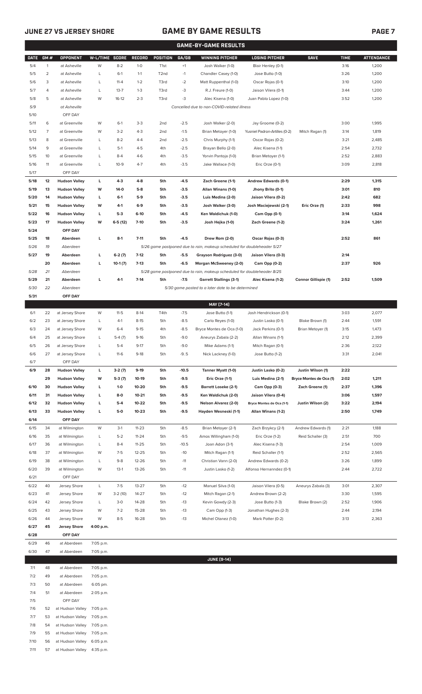## **JUNE 27 VS JERSEY SHORE GAME BY GAME RESULTS PAGE 7**

|  | <b>PAGE7</b> |
|--|--------------|
|  |              |

|             |                |                        |                |           |           |                   |         | <b>GAME-BY-GAME RESULTS</b>                                             |                               |                         |             |                   |
|-------------|----------------|------------------------|----------------|-----------|-----------|-------------------|---------|-------------------------------------------------------------------------|-------------------------------|-------------------------|-------------|-------------------|
| <b>DATE</b> | GM#            | OPPONENT               | W-L/TIME SCORE |           | RECORD    | POSITION          | GA/GB   | <b>WINNING PITCHER</b>                                                  | <b>LOSING PITCHER</b>         | <b>SAVE</b>             | <b>TIME</b> | <b>ATTENDANCE</b> |
| 5/4         | $\mathbf{1}$   | at Asheville           | W              | $8 - 2$   | $1 - 0$   | T <sub>1st</sub>  | $+1$    | Josh Walker (1-0)                                                       | Blair Henley (0-1)            |                         | 3:16        | 1,200             |
| 5/5         | $\overline{2}$ | at Asheville           | L              | $6-1$     | $1 - 1$   | T <sub>2</sub> nd | $-1$    | Chandler Casey (1-0)                                                    | Jose Butto (1-0)              |                         | 3:26        | 1,200             |
| 5/6         | 3              | at Asheville           | L              | $11 - 4$  | $1 - 2$   | T3rd              | $-2$    | Matt Ruppenthal (1-0)                                                   | Oscar Rojas (0-1)             |                         | 3:10        | 1,200             |
| 5/7         | 4              | at Asheville           | L              | $13 - 7$  | $1 - 3$   | T3rd              | $-3$    | R.J. Freure (1-0)                                                       | Jaison Vilera (0-1)           |                         | 3:44        | 1,200             |
| 5/8         | 5              | at Asheville           | W              | $16-12$   | $2 - 3$   | T3rd              | $-3$    | Alec Kisena (1-0)                                                       | Juan Pablo Lopez (1-0)        |                         | 3:52        | 1,200             |
| 5/9         |                | at Asheville           |                |           |           |                   |         | Cancelled due to non-COVID-related illness                              |                               |                         |             |                   |
| 5/10        |                | OFF DAY                |                |           |           |                   |         |                                                                         |                               |                         |             |                   |
| 5/11        | 6              | at Greenville          | W              | $6-1$     | $3 - 3$   | 2nd               | $-2.5$  | Josh Walker (2-0)                                                       | Jay Groome (0-2)              |                         | 3:00        | 1,995             |
| 5/12        | $\overline{7}$ | at Greenville          | W              | $3 - 2$   | $4 - 3$   | 2 <sub>nd</sub>   | $-1.5$  | Brian Metoyer (1-0)                                                     | Yusniel Padron-Artilles (0-2) | Mitch Ragan (1)         | 3:14        | 1,819             |
| 5/13        | 8              | at Greenville          | L              | $8 - 2$   | $4 - 4$   | 2 <sub>nd</sub>   | $-2.5$  | Chris Murphy (1-1)                                                      | Oscar Rojas (0-2)             |                         | 3:21        | 2,485             |
| 5/14        | 9              | at Greenville          | L              | $5-1$     | $4 - 5$   | 4th               | $-2.5$  | Brayan Bello (2-0)                                                      | Alec Kisena (1-1)             |                         | 2:54        | 2,732             |
| 5/15        | 10             | at Greenville          | L              | $8 - 4$   | $4-6$     | 4th               | $-3.5$  | Yorvin Pantoja (1-0)                                                    | Brian Metoyer (1-1)           |                         | 2:52        | 2,883             |
| 5/16        | 11             | at Greenville          | L              | $10-9$    | $4 - 7$   | 4th               | $-3.5$  | Jake Wallace (1-0)                                                      | Eric Orze (0-1)               |                         | 3:09        | 2,818             |
| 5/17        |                | OFF DAY                |                |           |           |                   |         |                                                                         |                               |                         |             |                   |
| 5/18        | 12             | <b>Hudson Valley</b>   | г              | $4-3$     | $4 - 8$   | 5th               | $-4.5$  | Zach Greene (1-1)                                                       | <b>Andrew Edwards (0-1)</b>   |                         | 2:29        | 1,315             |
| 5/19        | 13             | <b>Hudson Valley</b>   | W              | $14-0$    | $5-8$     | 5th               | $-3.5$  | Allan Winans (1-0)                                                      | Jhony Brito (0-1)             |                         | 3:01        | 810               |
| 5/20        | 14             | <b>Hudson Valley</b>   | г              | $6-1$     | $5-9$     | 5th               | $-3.5$  | Luis Medina (2-0)                                                       | Jaison Vilera (0-2)           |                         | 2:42        | 682               |
| 5/21        | 15             | <b>Hudson Valley</b>   | W              | $4-1$     | $6-9$     | 5th               | $-3.5$  | Josh Walker (3-0)                                                       | Josh Maciejewski (2-1)        | Eric Orze (1)           | 2:33        | 998               |
| 5/22        | 16             | <b>Hudson Valley</b>   | г              | $5-3$     | $6-10$    | 5th               | $-4.5$  | Ken Waldichuk (1-0)                                                     | Cam Opp (0-1)                 |                         | 3:14        | 1,624             |
| 5/23        | 17             | <b>Hudson Valley</b>   | W              | $6-5(12)$ | $7-10$    | 5th               | $-3.5$  |                                                                         | Zach Greene (1-2)             |                         | 3:24        | 1,261             |
| 5/24        |                | OFF DAY                |                |           |           |                   |         | Josh Hejka (1-0)                                                        |                               |                         |             |                   |
|             |                | Aberdeen               |                |           |           |                   |         |                                                                         |                               |                         |             |                   |
| 5/25        | 18             |                        | г              | $8-1$     | $7 - 11$  | 5th               | $-4.5$  | Drew Rom (2-0)                                                          | Oscar Rojas (0-3)             |                         | 2:52        | 861               |
| 5/26        | 19             | Aberdeen               |                |           |           |                   |         | 5/26 game postponed due to rain, makeup scheduled for doubleheader 5/27 |                               |                         |             |                   |
| 5/27        | 19             | Aberdeen               | г              | $6-2(7)$  | $7-12$    | 5th               | $-5.5$  | Grayson Rodriguez (3-0)                                                 | Jaison Vilera (0-3)           |                         | 2:14        |                   |
|             | 20             | Aberdeen               | г              | $10-1(7)$ | $7-13$    | 5th               | $-6.5$  | Morgan McSweeney (2-0)                                                  | Cam Opp (0-2)                 |                         | 2:37        | 926               |
| 5/28        | 21             | Aberdeen               |                |           |           |                   |         | 5/28 game postponed due to rain, makeup scheduled for doubleheader 8/25 |                               |                         |             |                   |
| 5/29        | 21             | Aberdeen               | L              | 4-1       | $7-14$    | 5th               | $-7.5$  | <b>Garrett Stallings (3-1)</b>                                          | Alec Kisena (1-2)             | Connor Gillispie (1)    | 2:52        | 1,509             |
| 5/30        | 22             | Aberdeen               |                |           |           |                   |         | 5/30 game posted to a later date to be determined                       |                               |                         |             |                   |
| 5/31        |                | OFF DAY                |                |           |           |                   |         |                                                                         |                               |                         |             |                   |
|             |                |                        |                |           |           |                   |         | MAY [7-14]                                                              |                               |                         |             |                   |
| 6/1         | 22             | at Jersey Shore        | W              | $11 - 5$  | $8-14$    | T4th              | $-7.5$  | Jose Butto (1-1)                                                        | Josh Hendrickson (0-1)        |                         | 3:03        | 2,077             |
| 6/2         | 23             | at Jersey Shore        | L              | $4-1$     | $8 - 15$  | 5th               | $-8.5$  | Carlo Reyes (1-0)                                                       | Justin Lasko (0-1)            | Blake Brown (1)         | 2:44        | 1,591             |
| 6/3         | 24             | at Jersey Shore        | W              | $6 - 4$   | $9-15$    | 4th               | $-8.5$  | Bryce Montes de Oca (1-0)                                               | Jack Perkins (0-1)            | Brian Metoyer (1)       | 3:15        | 1,473             |
| 6/4         | 25             | at Jersey Shore        | L              | $5-4(7)$  | $9-16$    | 5th               | $-9.0$  | Aneurys Zabala (2-2)                                                    | Allan Winans (1-1)            |                         | 2:12        | 2,399             |
| 6/5         | 26             | at Jersey Shore        | L              | $5 - 4$   | $9-17$    | 5th               | $-9.0$  | Mike Adams (1-1)                                                        | Mitch Ragan (0-1)             |                         | 2:36        | 2,122             |
| 6/6         | 27             | at Jersey Shore        | L              | $11-6$    | $9-18$    | 5th               | $-9.5$  | Nick Lackney (1-0)                                                      | Jose Butto (1-2)              |                         | 3:31        | 2,041             |
| 6/7         |                | OFF DAY                |                |           |           |                   |         |                                                                         |                               |                         |             |                   |
| 6/9         | 28             | <b>Hudson Valley</b>   | L              | $3-2(7)$  | $9-19$    | 5th               | $-10.5$ | Tanner Myatt (1-0)                                                      | Justin Lasko (0-2)            | Justin Wilson (1)       | 2:22        |                   |
|             | 29             | <b>Hudson Valley</b>   | W              | $5-3(7)$  | $10-19$   | 5th               | -9.5    | Eric Orze (1-1)                                                         | Luis Medina (2-1)             | Bryce Montes de Oca (1) | 2:02        | 1,211             |
| 6/10        | 30             | <b>Hudson Valley</b>   | L              | $1-0$     | 10-20     | 5th               | -9.5    | <b>Barrett Loseke (2-1)</b>                                             | Cam Opp (0-3)                 | Zach Greene (1)         | 2:37        | 1,396             |
| 6/11        | 31             | <b>Hudson Valley</b>   | г              | 8-0       | $10 - 21$ | 5th               | -9.5    | Ken Waldichuk (2-0)                                                     | Jaison Vilera (0-4)           |                         | 3:06        | 1,597             |
| 6/12        | 32             | <b>Hudson Valley</b>   | L              | $5-4$     | 10-22     | 5th               | -9.5    | <b>Nelson Alvarez (2-0)</b>                                             | Bryce Montes de Oca (1-1)     | Justin Wilson (2)       | 3:22        | 2,194             |
| 6/13        | 33             | <b>Hudson Valley</b>   | L              | 5-0       | $10 - 23$ | 5th               | -9.5    | Hayden Wesneski (1-1)                                                   | Allan Winans (1-2)            |                         | 2:50        | 1,749             |
| 6/14        |                | OFF DAY                |                |           |           |                   |         |                                                                         |                               |                         |             |                   |
| 6/15        | 34             | at Wilmington          | W              | $3-1$     | $11 - 23$ | 5th               | $-8.5$  | Brian Metoyer (2-1)                                                     | Zach Brzykcy (2-1)            | Andrew Edwards (1)      | 2:21        | 1,188             |
| 6/16        | 35             | at Wilmington          | L              | $5 - 2$   | $11 - 24$ | 5th               | $-9.5$  | Amos Willingham (1-0)                                                   | Eric Orze (1-2)               | Reid Schaller (3)       | 2:51        | 700               |
| 6/17        | 36             | at Wilmington          | L              | $8-4$     | $11 - 25$ | 5th               | $-10.5$ | Joan Adon (3-1)                                                         | Alec Kisena (1-3)             |                         | 2:54        | 1,009             |
| 6/18        | 37             | at Wilmington          | W              | $7-5$     | $12 - 25$ | 5th               | $-10$   | Mitch Ragan (1-1)                                                       | Reid Schaller (1-1)           |                         | 2:52        | 2,565             |
| 6/19        | 38             | at Wilmington          | L              | $9 - 8$   | 12-26     | 5th               | $-11$   | Christian Vann (2-0)                                                    | Andrew Edwards (0-2)          |                         | 3:26        | 1,899             |
| 6/20        | 39             | at Wilmington          | W              | $13-1$    | 13-26     | 5th               | $-11$   | Justin Lasko (1-2)                                                      | Alfonso Hernanndez (0-1)      |                         | 2:44        | 2,722             |
| 6/21        |                | OFF DAY                |                |           |           |                   |         |                                                                         |                               |                         |             |                   |
| 6/22        | 40             | Jersey Shore           | L              | $7-5$     | $13 - 27$ | 5th               | $-12$   | Manuel Silva (1-0)                                                      | Jaison Vilera (0-5)           | Aneurys Zabala (3)      | 3:01        | 2,307             |
| 6/23        | 41             | Jersey Shore           | W              | 3-2 (10)  | $14 - 27$ | 5th               | $-12$   | Mitch Ragan (2-1)                                                       | Andrew Brown (2-2)            |                         | 3:30        | 1,595             |
| 6/24        | 42             | Jersey Shore           | L              | $3 - 0$   | 14-28     | 5th               | $-13$   | Kevin Gowdy (2-3)                                                       | Jose Butto (1-3)              | Blake Brown (2)         | 2:52        | 1,906             |
| 6/25        | 43             | Jersey Shore           | W              | $7 - 2$   | 15-28     | 5th               | $-13$   | Cam Opp (1-3)                                                           | Jonathan Hughes (2-3)         |                         | 2:44        | 2,194             |
| 6/26        | 44             | Jersey Shore           | W              | $8 - 5$   | 16-28     | 5th               | $-13$   | Michel Otanez (1-0)                                                     | Mark Potter (0-2)             |                         | 3:13        | 2,363             |
| 6/27        | 45             | <b>Jersey Shore</b>    | 4:00 p.m.      |           |           |                   |         |                                                                         |                               |                         |             |                   |
| 6/28        |                | OFF DAY                |                |           |           |                   |         |                                                                         |                               |                         |             |                   |
| 6/29        | 46             | at Aberdeen            | 7:05 p.m.      |           |           |                   |         |                                                                         |                               |                         |             |                   |
| 6/30        | 47             | at Aberdeen            | 7:05 p.m.      |           |           |                   |         |                                                                         |                               |                         |             |                   |
|             |                |                        |                |           |           |                   |         | <b>JUNE [9-14]</b>                                                      |                               |                         |             |                   |
| 7/1         | 48             | at Aberdeen            | 7:05 p.m.      |           |           |                   |         |                                                                         |                               |                         |             |                   |
| 7/2         | 49             | at Aberdeen            | 7:05 p.m.      |           |           |                   |         |                                                                         |                               |                         |             |                   |
|             | 50             | at Aberdeen            | 6:05 pm.       |           |           |                   |         |                                                                         |                               |                         |             |                   |
| 7/3         |                |                        |                |           |           |                   |         |                                                                         |                               |                         |             |                   |
| 7/4         | 51             | at Aberdeen<br>OFF DAY | 2:05 p.m.      |           |           |                   |         |                                                                         |                               |                         |             |                   |
| 7/5<br>7/6  | 52             |                        | 7:05 p.m.      |           |           |                   |         |                                                                         |                               |                         |             |                   |
|             |                | at Hudson Valley       |                |           |           |                   |         |                                                                         |                               |                         |             |                   |
| 7/7         | 53             | at Hudson Valley       | 7:05 p.m.      |           |           |                   |         |                                                                         |                               |                         |             |                   |
| 7/8         | 54             | at Hudson Valley       | 7:05 p.m.      |           |           |                   |         |                                                                         |                               |                         |             |                   |
| 7/9         | 55             | at Hudson Valley       | 7:05 p.m.      |           |           |                   |         |                                                                         |                               |                         |             |                   |
| 7/10        | 56             | at Hudson Valley       | 6:05 p.m.      |           |           |                   |         |                                                                         |                               |                         |             |                   |
| 7/11        | 57             | at Hudson Valley       | 4:35 p.m.      |           |           |                   |         |                                                                         |                               |                         |             |                   |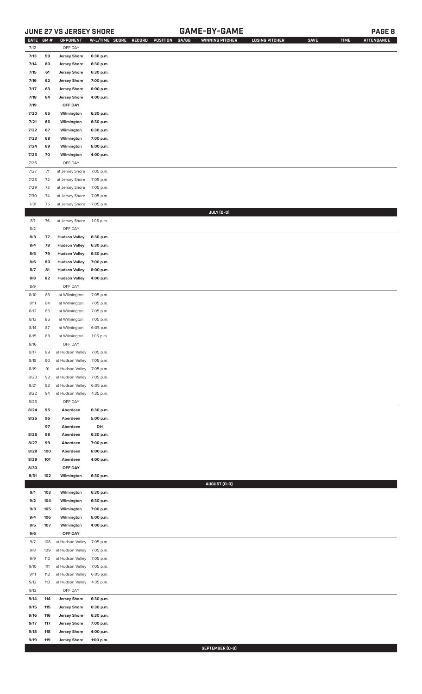## **JUNE 27 VS JERSEY SHORE GAME-BY-GAME PAGE 8**

| DATE GM # |     | OPPONENT             | W-L/TIME SCORE | GA/GB<br>RECORD<br>POSITION | <b>WINNING PITCHER</b> | <b>LOSING PITCHER</b> | <b>SAVE</b> | <b>TIME</b> | <b>ATTENDANCE</b> |
|-----------|-----|----------------------|----------------|-----------------------------|------------------------|-----------------------|-------------|-------------|-------------------|
| 7/12      |     | OFF DAY              |                |                             |                        |                       |             |             |                   |
| 7/13      | 59  | <b>Jersey Shore</b>  | 6:30 p.m.      |                             |                        |                       |             |             |                   |
| 7/14      | 60  | <b>Jersey Shore</b>  | 6:30 p.m.      |                             |                        |                       |             |             |                   |
| 7/15      | 61  | <b>Jersey Shore</b>  | 6:30 p.m.      |                             |                        |                       |             |             |                   |
| 7/16      | 62  | <b>Jersey Shore</b>  | 7:00 p.m.      |                             |                        |                       |             |             |                   |
| 7/17      | 63  | <b>Jersey Shore</b>  | 6:00 p.m.      |                             |                        |                       |             |             |                   |
| 7/18      | 64  |                      |                |                             |                        |                       |             |             |                   |
|           |     | <b>Jersey Shore</b>  | 4:00 p.m.      |                             |                        |                       |             |             |                   |
| 7/19      |     | OFF DAY              |                |                             |                        |                       |             |             |                   |
| 7/20      | 65  | Wilmington           | 6:30 p.m.      |                             |                        |                       |             |             |                   |
| 7/21      | 66  | Wilmington           | 6:30 p.m.      |                             |                        |                       |             |             |                   |
| 7/22      | 67  | Wilmington           | 6:30 p.m.      |                             |                        |                       |             |             |                   |
| 7/23      | 68  | Wilmington           | 7:00 p.m.      |                             |                        |                       |             |             |                   |
| 7/24      | 69  | Wilmington           | 6:00 p.m.      |                             |                        |                       |             |             |                   |
| 7/25      | 70  | Wilmington           | 4:00 p.m.      |                             |                        |                       |             |             |                   |
| 7/26      |     | OFF DAY              |                |                             |                        |                       |             |             |                   |
| 7/27      | 71  |                      |                |                             |                        |                       |             |             |                   |
|           |     | at Jersey Shore      | 7:05 p.m.      |                             |                        |                       |             |             |                   |
| 7/28      | 72  | at Jersey Shore      | 7:05 p.m.      |                             |                        |                       |             |             |                   |
| 7/29      | 73  | at Jersey Shore      | 7:05 p.m.      |                             |                        |                       |             |             |                   |
| 7/30      | 74  | at Jersey Shore      | 7:05 p.m.      |                             |                        |                       |             |             |                   |
| 7/31      | 75  | at Jersey Shore      | 7:05 p.m.      |                             |                        |                       |             |             |                   |
|           |     |                      |                |                             | JULY (0-0)             |                       |             |             |                   |
| 8/1       | 76  | at Jersey Shore      | 1:05 p.m.      |                             |                        |                       |             |             |                   |
| 8/2       |     | OFF DAY              |                |                             |                        |                       |             |             |                   |
| 8/3       | 77  | <b>Hudson Valley</b> | 6:30 p.m.      |                             |                        |                       |             |             |                   |
| 8/4       | 78  | <b>Hudson Valley</b> | 6:30 p.m.      |                             |                        |                       |             |             |                   |
| 8/5       | 79  | <b>Hudson Valley</b> | 6:30 p.m.      |                             |                        |                       |             |             |                   |
|           |     |                      |                |                             |                        |                       |             |             |                   |
| 8/6       | 80  | <b>Hudson Valley</b> | 7:00 p.m.      |                             |                        |                       |             |             |                   |
| 8/7       | 81  | <b>Hudson Valley</b> | 6:00 p.m.      |                             |                        |                       |             |             |                   |
| 8/8       | 82  | <b>Hudson Valley</b> | 4:00 p.m.      |                             |                        |                       |             |             |                   |
| 8/9       |     | OFF DAY              |                |                             |                        |                       |             |             |                   |
| 8/10      | 83  | at Wilmington        | 7:05 p.m.      |                             |                        |                       |             |             |                   |
| 8/11      | 84  | at Wilmington        | 7:05 p.m.      |                             |                        |                       |             |             |                   |
| 8/12      | 85  | at Wilmington        | 7:05 p.m.      |                             |                        |                       |             |             |                   |
| 8/13      | 86  | at Wilmington        | 7:05 p.m.      |                             |                        |                       |             |             |                   |
| 8/14      | 87  | at Wilmington        | 6:05 p.m.      |                             |                        |                       |             |             |                   |
|           |     |                      |                |                             |                        |                       |             |             |                   |
| 8/15      | 88  | at Wilmington        | 1:05 p.m.      |                             |                        |                       |             |             |                   |
| 8/16      |     | OFF DAY              |                |                             |                        |                       |             |             |                   |
| 8/17      | 89  | at Hudson Valley     | 7:05 p.m.      |                             |                        |                       |             |             |                   |
| 8/18      | 90  | at Hudson Valley     | 7:05 p.m.      |                             |                        |                       |             |             |                   |
| 8/19      | 91  | at Hudson Valley     | 7:05 p.m.      |                             |                        |                       |             |             |                   |
| 8/20      | 92  | at Hudson Valley     | 7:05 p.m.      |                             |                        |                       |             |             |                   |
| 8/21      | 93  | at Hudson Valley     | 6:05 p.m.      |                             |                        |                       |             |             |                   |
| 8/22      | 94  | at Hudson Valley     | 4:35 p.m.      |                             |                        |                       |             |             |                   |
| 8/23      |     | OFF DAY              |                |                             |                        |                       |             |             |                   |
| 8/24      | 95  | Aberdeen             | 6:30 p.m.      |                             |                        |                       |             |             |                   |
| 8/25      | 96  | Aberdeen             | 5:00 p.m.      |                             |                        |                       |             |             |                   |
|           |     |                      |                |                             |                        |                       |             |             |                   |
|           | 97  | Aberdeen             | DH             |                             |                        |                       |             |             |                   |
| 8/26      | 98  | Aberdeen             | 6:30 p.m.      |                             |                        |                       |             |             |                   |
| 8/27      | 99  | Aberdeen             | 7:00 p.m.      |                             |                        |                       |             |             |                   |
| 8/28      | 100 | Aberdeen             | 6:00 p.m.      |                             |                        |                       |             |             |                   |
| 8/29      | 101 | Aberdeen             | 4:00 p.m.      |                             |                        |                       |             |             |                   |
| 8/30      |     | OFF DAY              |                |                             |                        |                       |             |             |                   |
| 8/31      | 102 | Wilmington           | 6:30 p.m.      |                             |                        |                       |             |             |                   |
|           |     |                      |                |                             | AUGUST (0-0)           |                       |             |             |                   |
| 9/1       | 103 | Wilmington           | 6:30 p.m.      |                             |                        |                       |             |             |                   |
| 9/2       | 104 | Wilmington           | 6:30 p.m.      |                             |                        |                       |             |             |                   |
| 9/3       | 105 | Wilmington           | 7:00 p.m.      |                             |                        |                       |             |             |                   |
|           |     |                      |                |                             |                        |                       |             |             |                   |
| 9/4       | 106 | Wilmington           | 6:00 p.m.      |                             |                        |                       |             |             |                   |
| 9/5       | 107 | Wilmington           | 4:00 p.m.      |                             |                        |                       |             |             |                   |
| 9/6       |     | OFF DAY              |                |                             |                        |                       |             |             |                   |
| 9/7       | 108 | at Hudson Valley     | 7:05 p.m.      |                             |                        |                       |             |             |                   |
| 9/8       | 109 | at Hudson Valley     | 7:05 p.m.      |                             |                        |                       |             |             |                   |
| 9/9       | 110 | at Hudson Valley     | 7:05 p.m.      |                             |                        |                       |             |             |                   |
| 9/10      | 111 | at Hudson Valley     | 7:05 p.m.      |                             |                        |                       |             |             |                   |
| 9/11      | 112 | at Hudson Valley     | 6:05 p.m.      |                             |                        |                       |             |             |                   |
| 9/12      | 113 | at Hudson Valley     | 4:35 p.m.      |                             |                        |                       |             |             |                   |
| 9/13      |     | OFF DAY              |                |                             |                        |                       |             |             |                   |
|           |     |                      |                |                             |                        |                       |             |             |                   |
| 9/14      | 114 | <b>Jersey Shore</b>  | 6:30 p.m.      |                             |                        |                       |             |             |                   |
| 9/15      | 115 | <b>Jersey Shore</b>  | 6:30 p.m.      |                             |                        |                       |             |             |                   |
| 9/16      | 116 | <b>Jersey Shore</b>  | 6:30 p.m.      |                             |                        |                       |             |             |                   |
| 9/17      | 117 | <b>Jersey Shore</b>  | 7:00 p.m.      |                             |                        |                       |             |             |                   |
| 9/18      | 118 | <b>Jersey Shore</b>  | 4:00 p.m.      |                             |                        |                       |             |             |                   |
| 9/19      | 119 | <b>Jersey Shore</b>  | 1:00 p.m.      |                             |                        |                       |             |             |                   |
|           |     |                      |                |                             | SEPTEMBER [0-0]        |                       |             |             |                   |